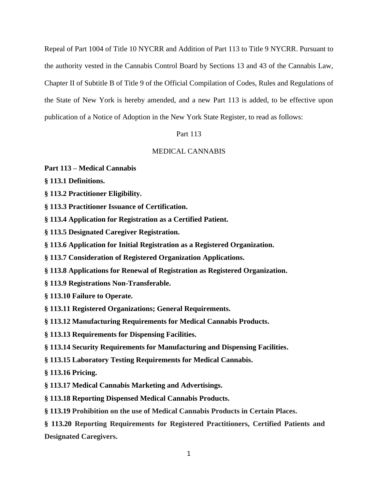Repeal of Part 1004 of Title 10 NYCRR and Addition of Part 113 to Title 9 NYCRR. Pursuant to the authority vested in the Cannabis Control Board by Sections 13 and 43 of the Cannabis Law, Chapter II of Subtitle B of Title 9 of the Official Compilation of Codes, Rules and Regulations of the State of New York is hereby amended, and a new Part 113 is added, to be effective upon publication of a Notice of Adoption in the New York State Register, to read as follows:

# Part 113

# MEDICAL CANNABIS

### **Part 113 – Medical Cannabis**

- **§ 113.1 Definitions.**
- **§ 113.2 Practitioner Eligibility.**
- **§ 113.3 Practitioner Issuance of Certification.**
- **§ 113.4 Application for Registration as a Certified Patient.**
- **§ 113.5 Designated Caregiver Registration.**
- **§ 113.6 Application for Initial Registration as a Registered Organization.**
- **§ 113.7 Consideration of Registered Organization Applications.**
- **§ 113.8 Applications for Renewal of Registration as Registered Organization.**
- **§ 113.9 Registrations Non-Transferable.**

**§ 113.10 Failure to Operate.**

- **§ 113.11 Registered Organizations; General Requirements.**
- **§ 113.12 Manufacturing Requirements for Medical Cannabis Products.**
- **§ 113.13 Requirements for Dispensing Facilities.**
- **§ 113.14 Security Requirements for Manufacturing and Dispensing Facilities.**
- **§ 113.15 Laboratory Testing Requirements for Medical Cannabis.**

**§ 113.16 Pricing.**

- **§ 113.17 Medical Cannabis Marketing and Advertisings.**
- **§ 113.18 Reporting Dispensed Medical Cannabis Products.**
- **§ 113.19 Prohibition on the use of Medical Cannabis Products in Certain Places.**

**§ 113.20 Reporting Requirements for Registered Practitioners, Certified Patients and Designated Caregivers.**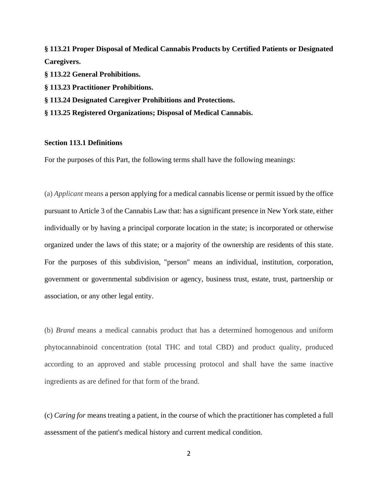**§ 113.21 Proper Disposal of Medical Cannabis Products by Certified Patients or Designated Caregivers.**

**§ 113.22 General Prohibitions.**

**§ 113.23 Practitioner Prohibitions.**

**§ 113.24 Designated Caregiver Prohibitions and Protections.**

**§ 113.25 Registered Organizations; Disposal of Medical Cannabis.**

# **Section 113.1 Definitions**

For the purposes of this Part, the following terms shall have the following meanings:

(a) *Applicant* means a person applying for a medical cannabis license or permit issued by the office pursuant to Article 3 of the Cannabis Law that: has a significant presence in New York state, either individually or by having a principal corporate location in the state; is incorporated or otherwise organized under the laws of this state; or a majority of the ownership are residents of this state. For the purposes of this subdivision, "person" means an individual, institution, corporation, government or governmental subdivision or agency, business trust, estate, trust, partnership or association, or any other legal entity.

(b) *Brand* means a medical cannabis product that has a determined homogenous and uniform phytocannabinoid concentration (total THC and total CBD) and product quality, produced according to an approved and stable processing protocol and shall have the same inactive ingredients as are defined for that form of the brand.

(c) *Caring for* means treating a patient, in the course of which the practitioner has completed a full assessment of the patient's medical history and current medical condition.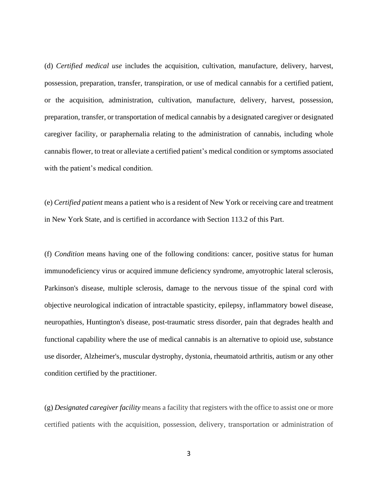(d) *Certified medical use* includes the acquisition, cultivation, manufacture, delivery, harvest, possession, preparation, transfer, transpiration, or use of medical cannabis for a certified patient, or the acquisition, administration, cultivation, manufacture, delivery, harvest, possession, preparation, transfer, or transportation of medical cannabis by a designated caregiver or designated caregiver facility, or paraphernalia relating to the administration of cannabis, including whole cannabis flower, to treat or alleviate a certified patient's medical condition or symptoms associated with the patient's medical condition.

(e) *Certified patient* means a patient who is a resident of New York or receiving care and treatment in New York State, and is certified in accordance with Section 113.2 of this Part.

(f) *Condition* means having one of the following conditions: cancer, positive status for human immunodeficiency virus or acquired immune deficiency syndrome, amyotrophic lateral sclerosis, Parkinson's disease, multiple sclerosis, damage to the nervous tissue of the spinal cord with objective neurological indication of intractable spasticity, epilepsy, inflammatory bowel disease, neuropathies, Huntington's disease, post-traumatic stress disorder, pain that degrades health and functional capability where the use of medical cannabis is an alternative to opioid use, substance use disorder, Alzheimer's, muscular dystrophy, dystonia, rheumatoid arthritis, autism or any other condition certified by the practitioner.

(g) *Designated caregiver facility* means a facility that registers with the office to assist one or more certified patients with the acquisition, possession, delivery, transportation or administration of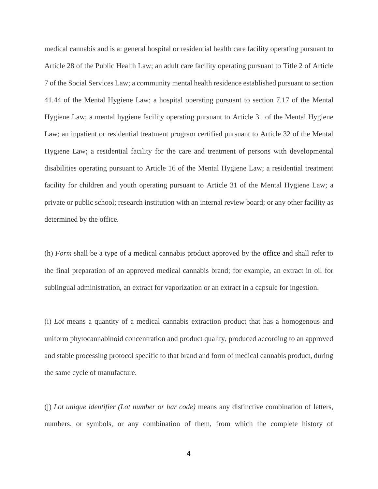medical cannabis and is a: general hospital or residential health care facility operating pursuant to Article 28 of the Public Health Law; an adult care facility operating pursuant to Title 2 of Article 7 of the Social Services Law; a community mental health residence established pursuant to section 41.44 of the Mental Hygiene Law; a hospital operating pursuant to section 7.17 of the Mental Hygiene Law; a mental hygiene facility operating pursuant to Article 31 of the Mental Hygiene Law; an inpatient or residential treatment program certified pursuant to Article 32 of the Mental Hygiene Law; a residential facility for the care and treatment of persons with developmental disabilities operating pursuant to Article 16 of the Mental Hygiene Law; a residential treatment facility for children and youth operating pursuant to Article 31 of the Mental Hygiene Law; a private or public school; research institution with an internal review board; or any other facility as determined by the office.

(h) *Form* shall be a type of a medical cannabis product approved by the office and shall refer to the final preparation of an approved medical cannabis brand; for example, an extract in oil for sublingual administration, an extract for vaporization or an extract in a capsule for ingestion.

(i) *Lot* means a quantity of a medical cannabis extraction product that has a homogenous and uniform phytocannabinoid concentration and product quality, produced according to an approved and stable processing protocol specific to that brand and form of medical cannabis product, during the same cycle of manufacture.

(j) *Lot unique identifier (Lot number or bar code)* means any distinctive combination of letters, numbers, or symbols, or any combination of them, from which the complete history of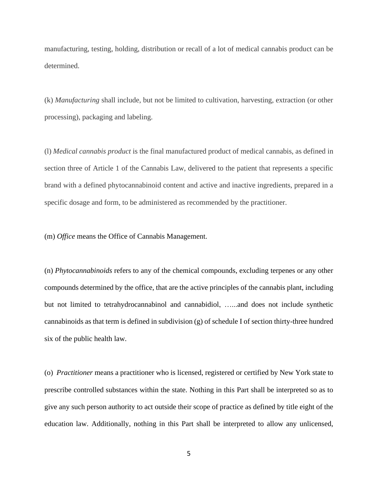manufacturing, testing, holding, distribution or recall of a lot of medical cannabis product can be determined.

(k) *Manufacturing* shall include, but not be limited to cultivation, harvesting, extraction (or other processing), packaging and labeling.

(l) *Medical cannabis product* is the final manufactured product of medical cannabis, as defined in section three of Article 1 of the Cannabis Law, delivered to the patient that represents a specific brand with a defined phytocannabinoid content and active and inactive ingredients, prepared in a specific dosage and form, to be administered as recommended by the practitioner.

(m) *Office* means the Office of Cannabis Management.

(n) *Phytocannabinoids* refers to any of the chemical compounds, excluding terpenes or any other compounds determined by the office, that are the active principles of the cannabis plant, including but not limited to tetrahydrocannabinol and cannabidiol, …...and does not include synthetic cannabinoids as that term is defined in subdivision (g) of schedule I of section thirty-three hundred six of the public health law.

(o) *Practitioner* means a practitioner who is licensed, registered or certified by New York state to prescribe controlled substances within the state. Nothing in this Part shall be interpreted so as to give any such person authority to act outside their scope of practice as defined by title eight of the education law. Additionally, nothing in this Part shall be interpreted to allow any unlicensed,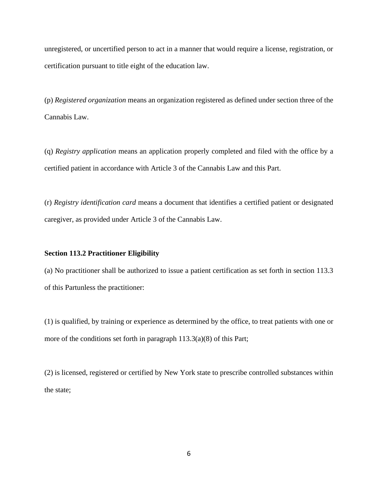unregistered, or uncertified person to act in a manner that would require a license, registration, or certification pursuant to title eight of the education law.

(p) *Registered organization* means an organization registered as defined under section three of the Cannabis Law.

(q) *Registry application* means an application properly completed and filed with the office by a certified patient in accordance with Article 3 of the Cannabis Law and this Part.

(r) *Registry identification card* means a document that identifies a certified patient or designated caregiver, as provided under Article 3 of the Cannabis Law.

## **Section 113.2 Practitioner Eligibility**

(a) No practitioner shall be authorized to issue a patient certification as set forth in section 113.3 of this Partunless the practitioner:

(1) is qualified, by training or experience as determined by the office, to treat patients with one or more of the conditions set forth in paragraph 113.3(a)(8) of this Part;

(2) is licensed, registered or certified by New York state to prescribe controlled substances within the state;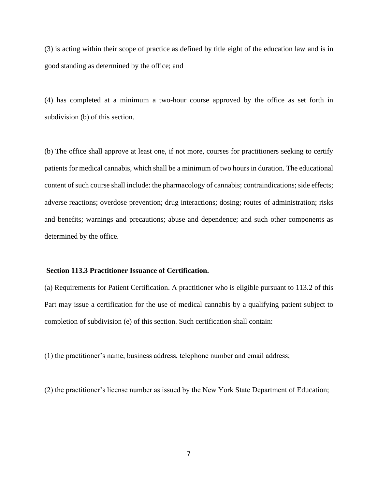(3) is acting within their scope of practice as defined by title eight of the education law and is in good standing as determined by the office; and

(4) has completed at a minimum a two-hour course approved by the office as set forth in subdivision (b) of this section.

(b) The office shall approve at least one, if not more, courses for practitioners seeking to certify patients for medical cannabis, which shall be a minimum of two hours in duration. The educational content of such course shall include: the pharmacology of cannabis; contraindications; side effects; adverse reactions; overdose prevention; drug interactions; dosing; routes of administration; risks and benefits; warnings and precautions; abuse and dependence; and such other components as determined by the office.

## **Section 113.3 Practitioner Issuance of Certification.**

(a) Requirements for Patient Certification. A practitioner who is eligible pursuant to 113.2 of this Part may issue a certification for the use of medical cannabis by a qualifying patient subject to completion of subdivision (e) of this section. Such certification shall contain:

(1) the practitioner's name, business address, telephone number and email address;

(2) the practitioner's license number as issued by the New York State Department of Education;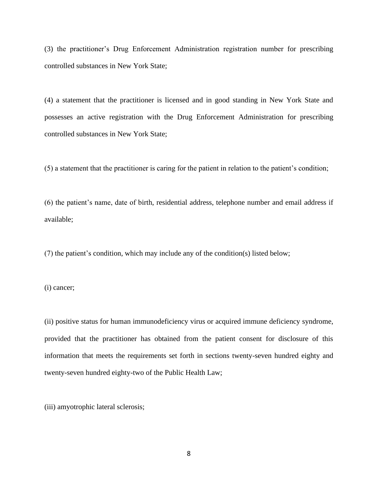(3) the practitioner's Drug Enforcement Administration registration number for prescribing controlled substances in New York State;

(4) a statement that the practitioner is licensed and in good standing in New York State and possesses an active registration with the Drug Enforcement Administration for prescribing controlled substances in New York State;

(5) a statement that the practitioner is caring for the patient in relation to the patient's condition;

(6) the patient's name, date of birth, residential address, telephone number and email address if available;

(7) the patient's condition, which may include any of the condition(s) listed below;

(i) cancer;

(ii) positive status for human immunodeficiency virus or acquired immune deficiency syndrome, provided that the practitioner has obtained from the patient consent for disclosure of this information that meets the requirements set forth in sections twenty-seven hundred eighty and twenty-seven hundred eighty-two of the Public Health Law;

(iii) amyotrophic lateral sclerosis;

8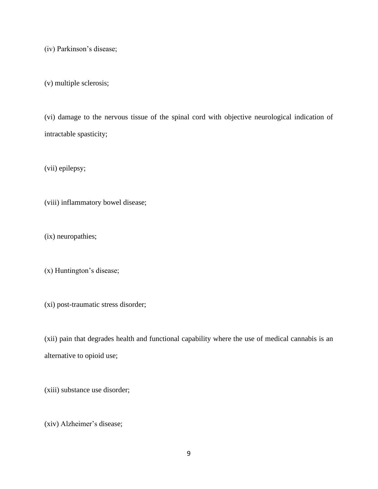(iv) Parkinson's disease;

(v) multiple sclerosis;

(vi) damage to the nervous tissue of the spinal cord with objective neurological indication of intractable spasticity;

(vii) epilepsy;

(viii) inflammatory bowel disease;

(ix) neuropathies;

(x) Huntington's disease;

(xi) post-traumatic stress disorder;

(xii) pain that degrades health and functional capability where the use of medical cannabis is an alternative to opioid use;

(xiii) substance use disorder;

(xiv) Alzheimer's disease;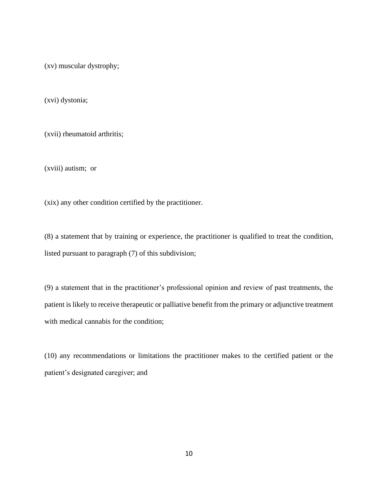(xv) muscular dystrophy;

(xvi) dystonia;

(xvii) rheumatoid arthritis;

(xviii) autism; or

(xix) any other condition certified by the practitioner.

(8) a statement that by training or experience, the practitioner is qualified to treat the condition, listed pursuant to paragraph (7) of this subdivision;

(9) a statement that in the practitioner's professional opinion and review of past treatments, the patient is likely to receive therapeutic or palliative benefit from the primary or adjunctive treatment with medical cannabis for the condition;

(10) any recommendations or limitations the practitioner makes to the certified patient or the patient's designated caregiver; and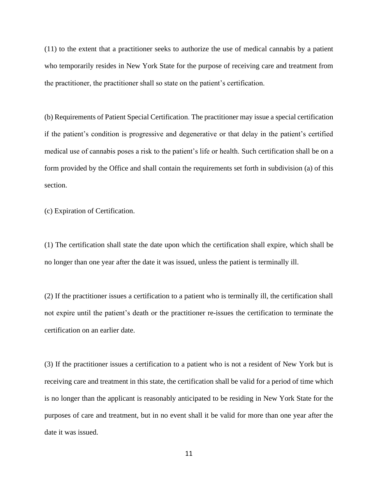(11) to the extent that a practitioner seeks to authorize the use of medical cannabis by a patient who temporarily resides in New York State for the purpose of receiving care and treatment from the practitioner, the practitioner shall so state on the patient's certification.

(b) Requirements of Patient Special Certification. The practitioner may issue a special certification if the patient's condition is progressive and degenerative or that delay in the patient's certified medical use of cannabis poses a risk to the patient's life or health. Such certification shall be on a form provided by the Office and shall contain the requirements set forth in subdivision (a) of this section.

(c) Expiration of Certification.

(1) The certification shall state the date upon which the certification shall expire, which shall be no longer than one year after the date it was issued, unless the patient is terminally ill.

(2) If the practitioner issues a certification to a patient who is terminally ill, the certification shall not expire until the patient's death or the practitioner re-issues the certification to terminate the certification on an earlier date.

(3) If the practitioner issues a certification to a patient who is not a resident of New York but is receiving care and treatment in this state, the certification shall be valid for a period of time which is no longer than the applicant is reasonably anticipated to be residing in New York State for the purposes of care and treatment, but in no event shall it be valid for more than one year after the date it was issued.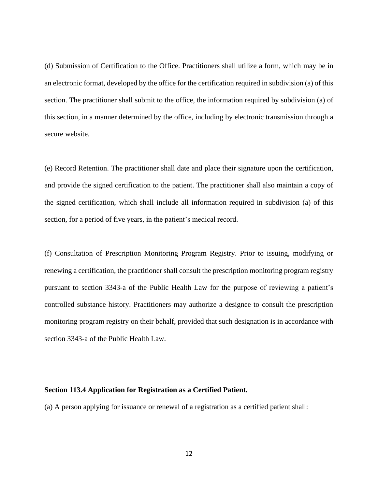(d) Submission of Certification to the Office. Practitioners shall utilize a form, which may be in an electronic format, developed by the office for the certification required in subdivision (a) of this section. The practitioner shall submit to the office, the information required by subdivision (a) of this section, in a manner determined by the office, including by electronic transmission through a secure website.

(e) Record Retention. The practitioner shall date and place their signature upon the certification, and provide the signed certification to the patient. The practitioner shall also maintain a copy of the signed certification, which shall include all information required in subdivision (a) of this section, for a period of five years, in the patient's medical record.

(f) Consultation of Prescription Monitoring Program Registry. Prior to issuing, modifying or renewing a certification, the practitioner shall consult the prescription monitoring program registry pursuant to section 3343-a of the Public Health Law for the purpose of reviewing a patient's controlled substance history. Practitioners may authorize a designee to consult the prescription monitoring program registry on their behalf, provided that such designation is in accordance with section 3343-a of the Public Health Law.

#### **Section 113.4 Application for Registration as a Certified Patient.**

(a) A person applying for issuance or renewal of a registration as a certified patient shall: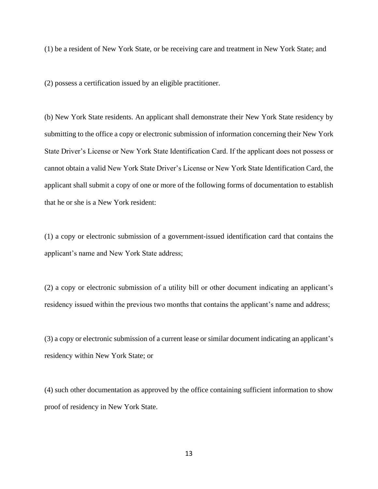(1) be a resident of New York State, or be receiving care and treatment in New York State; and

(2) possess a certification issued by an eligible practitioner.

(b) New York State residents. An applicant shall demonstrate their New York State residency by submitting to the office a copy or electronic submission of information concerning their New York State Driver's License or New York State Identification Card. If the applicant does not possess or cannot obtain a valid New York State Driver's License or New York State Identification Card, the applicant shall submit a copy of one or more of the following forms of documentation to establish that he or she is a New York resident:

(1) a copy or electronic submission of a government-issued identification card that contains the applicant's name and New York State address;

(2) a copy or electronic submission of a utility bill or other document indicating an applicant's residency issued within the previous two months that contains the applicant's name and address;

(3) a copy or electronic submission of a current lease or similar document indicating an applicant's residency within New York State; or

(4) such other documentation as approved by the office containing sufficient information to show proof of residency in New York State.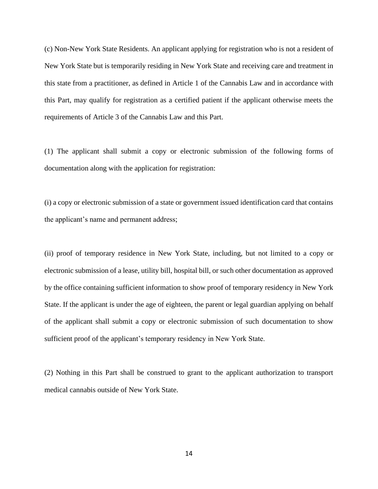(c) Non-New York State Residents. An applicant applying for registration who is not a resident of New York State but is temporarily residing in New York State and receiving care and treatment in this state from a practitioner, as defined in Article 1 of the Cannabis Law and in accordance with this Part, may qualify for registration as a certified patient if the applicant otherwise meets the requirements of Article 3 of the Cannabis Law and this Part.

(1) The applicant shall submit a copy or electronic submission of the following forms of documentation along with the application for registration:

(i) a copy or electronic submission of a state or government issued identification card that contains the applicant's name and permanent address;

(ii) proof of temporary residence in New York State, including, but not limited to a copy or electronic submission of a lease, utility bill, hospital bill, or such other documentation as approved by the office containing sufficient information to show proof of temporary residency in New York State. If the applicant is under the age of eighteen, the parent or legal guardian applying on behalf of the applicant shall submit a copy or electronic submission of such documentation to show sufficient proof of the applicant's temporary residency in New York State.

(2) Nothing in this Part shall be construed to grant to the applicant authorization to transport medical cannabis outside of New York State.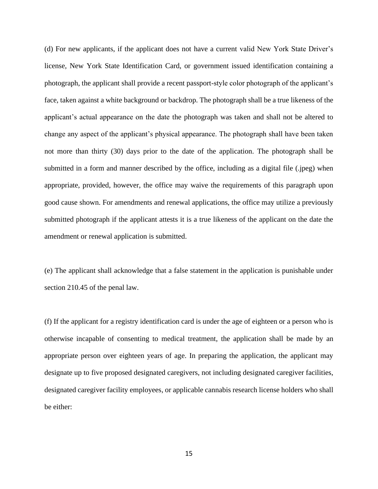(d) For new applicants, if the applicant does not have a current valid New York State Driver's license, New York State Identification Card, or government issued identification containing a photograph, the applicant shall provide a recent passport-style color photograph of the applicant's face, taken against a white background or backdrop. The photograph shall be a true likeness of the applicant's actual appearance on the date the photograph was taken and shall not be altered to change any aspect of the applicant's physical appearance. The photograph shall have been taken not more than thirty (30) days prior to the date of the application. The photograph shall be submitted in a form and manner described by the office, including as a digital file (.jpeg) when appropriate, provided, however, the office may waive the requirements of this paragraph upon good cause shown. For amendments and renewal applications, the office may utilize a previously submitted photograph if the applicant attests it is a true likeness of the applicant on the date the amendment or renewal application is submitted.

(e) The applicant shall acknowledge that a false statement in the application is punishable under section 210.45 of the penal law.

(f) If the applicant for a registry identification card is under the age of eighteen or a person who is otherwise incapable of consenting to medical treatment, the application shall be made by an appropriate person over eighteen years of age. In preparing the application, the applicant may designate up to five proposed designated caregivers, not including designated caregiver facilities, designated caregiver facility employees, or applicable cannabis research license holders who shall be either: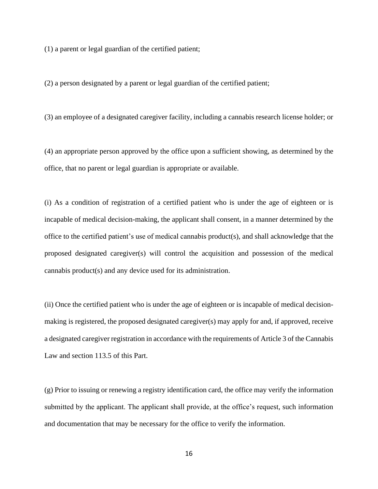(1) a parent or legal guardian of the certified patient;

(2) a person designated by a parent or legal guardian of the certified patient;

(3) an employee of a designated caregiver facility, including a cannabis research license holder; or

(4) an appropriate person approved by the office upon a sufficient showing, as determined by the office, that no parent or legal guardian is appropriate or available.

(i) As a condition of registration of a certified patient who is under the age of eighteen or is incapable of medical decision-making, the applicant shall consent, in a manner determined by the office to the certified patient's use of medical cannabis product(s), and shall acknowledge that the proposed designated caregiver(s) will control the acquisition and possession of the medical cannabis product(s) and any device used for its administration.

(ii) Once the certified patient who is under the age of eighteen or is incapable of medical decisionmaking is registered, the proposed designated caregiver(s) may apply for and, if approved, receive a designated caregiver registration in accordance with the requirements of Article 3 of the Cannabis Law and section 113.5 of this Part.

(g) Prior to issuing or renewing a registry identification card, the office may verify the information submitted by the applicant. The applicant shall provide, at the office's request, such information and documentation that may be necessary for the office to verify the information.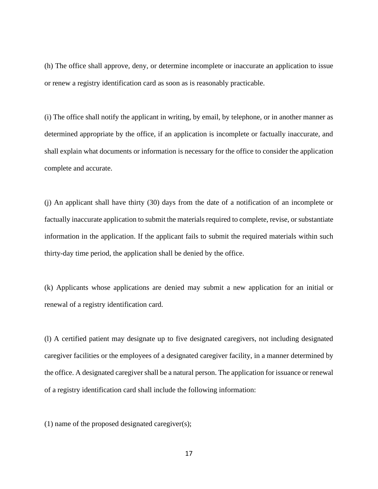(h) The office shall approve, deny, or determine incomplete or inaccurate an application to issue or renew a registry identification card as soon as is reasonably practicable.

(i) The office shall notify the applicant in writing, by email, by telephone, or in another manner as determined appropriate by the office, if an application is incomplete or factually inaccurate, and shall explain what documents or information is necessary for the office to consider the application complete and accurate.

(j) An applicant shall have thirty (30) days from the date of a notification of an incomplete or factually inaccurate application to submit the materials required to complete, revise, or substantiate information in the application. If the applicant fails to submit the required materials within such thirty-day time period, the application shall be denied by the office.

(k) Applicants whose applications are denied may submit a new application for an initial or renewal of a registry identification card.

(l) A certified patient may designate up to five designated caregivers, not including designated caregiver facilities or the employees of a designated caregiver facility, in a manner determined by the office. A designated caregiver shall be a natural person. The application for issuance or renewal of a registry identification card shall include the following information:

(1) name of the proposed designated caregiver(s);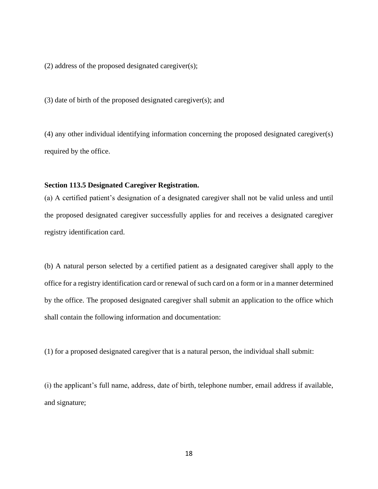(2) address of the proposed designated caregiver(s);

(3) date of birth of the proposed designated caregiver(s); and

(4) any other individual identifying information concerning the proposed designated caregiver(s) required by the office.

# **Section 113.5 Designated Caregiver Registration.**

(a) A certified patient's designation of a designated caregiver shall not be valid unless and until the proposed designated caregiver successfully applies for and receives a designated caregiver registry identification card.

(b) A natural person selected by a certified patient as a designated caregiver shall apply to the office for a registry identification card or renewal of such card on a form or in a manner determined by the office. The proposed designated caregiver shall submit an application to the office which shall contain the following information and documentation:

(1) for a proposed designated caregiver that is a natural person, the individual shall submit:

(i) the applicant's full name, address, date of birth, telephone number, email address if available, and signature;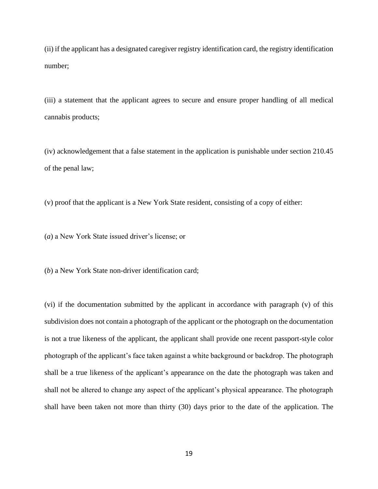(ii) if the applicant has a designated caregiver registry identification card, the registry identification number;

(iii) a statement that the applicant agrees to secure and ensure proper handling of all medical cannabis products;

(iv) acknowledgement that a false statement in the application is punishable under section 210.45 of the penal law;

(v) proof that the applicant is a New York State resident, consisting of a copy of either:

(*a*) a New York State issued driver's license; or

(*b*) a New York State non-driver identification card;

(vi) if the documentation submitted by the applicant in accordance with paragraph (v) of this subdivision does not contain a photograph of the applicant or the photograph on the documentation is not a true likeness of the applicant, the applicant shall provide one recent passport-style color photograph of the applicant's face taken against a white background or backdrop. The photograph shall be a true likeness of the applicant's appearance on the date the photograph was taken and shall not be altered to change any aspect of the applicant's physical appearance. The photograph shall have been taken not more than thirty (30) days prior to the date of the application. The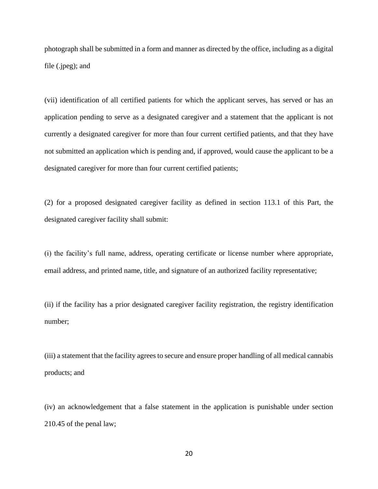photograph shall be submitted in a form and manner as directed by the office, including as a digital file (.jpeg); and

(vii) identification of all certified patients for which the applicant serves, has served or has an application pending to serve as a designated caregiver and a statement that the applicant is not currently a designated caregiver for more than four current certified patients, and that they have not submitted an application which is pending and, if approved, would cause the applicant to be a designated caregiver for more than four current certified patients;

(2) for a proposed designated caregiver facility as defined in section 113.1 of this Part, the designated caregiver facility shall submit:

(i) the facility's full name, address, operating certificate or license number where appropriate, email address, and printed name, title, and signature of an authorized facility representative;

(ii) if the facility has a prior designated caregiver facility registration, the registry identification number;

(iii) a statement that the facility agrees to secure and ensure proper handling of all medical cannabis products; and

(iv) an acknowledgement that a false statement in the application is punishable under section 210.45 of the penal law;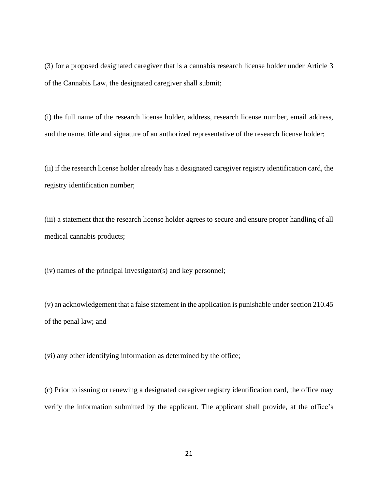(3) for a proposed designated caregiver that is a cannabis research license holder under Article 3 of the Cannabis Law, the designated caregiver shall submit;

(i) the full name of the research license holder, address, research license number, email address, and the name, title and signature of an authorized representative of the research license holder;

(ii) if the research license holder already has a designated caregiver registry identification card, the registry identification number;

(iii) a statement that the research license holder agrees to secure and ensure proper handling of all medical cannabis products;

(iv) names of the principal investigator(s) and key personnel;

(v) an acknowledgement that a false statement in the application is punishable under section 210.45 of the penal law; and

(vi) any other identifying information as determined by the office;

(c) Prior to issuing or renewing a designated caregiver registry identification card, the office may verify the information submitted by the applicant. The applicant shall provide, at the office's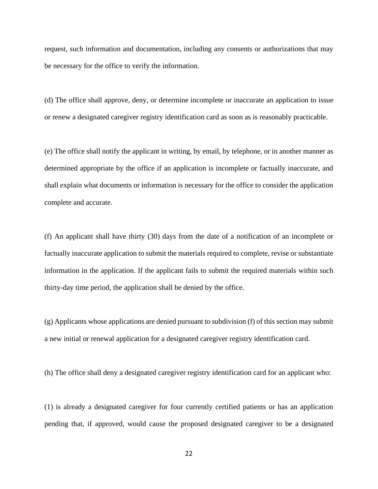request, such information and documentation, including any consents or authorizations that may be necessary for the office to verify the information.

(d) The office shall approve, deny, or determine incomplete or inaccurate an application to issue or renew a designated caregiver registry identification card as soon as is reasonably practicable.

(e) The office shall notify the applicant in writing, by email, by telephone, or in another manner as determined appropriate by the office if an application is incomplete or factually inaccurate, and shall explain what documents or information is necessary for the office to consider the application complete and accurate.

(f) An applicant shall have thirty (30) days from the date of a notification of an incomplete or factually inaccurate application to submit the materials required to complete, revise or substantiate information in the application. If the applicant fails to submit the required materials within such thirty-day time period, the application shall be denied by the office.

(g) Applicants whose applications are denied pursuant to subdivision (f) of this section may submit a new initial or renewal application for a designated caregiver registry identification card.

(h) The office shall deny a designated caregiver registry identification card for an applicant who:

(1) is already a designated caregiver for four currently certified patients or has an application pending that, if approved, would cause the proposed designated caregiver to be a designated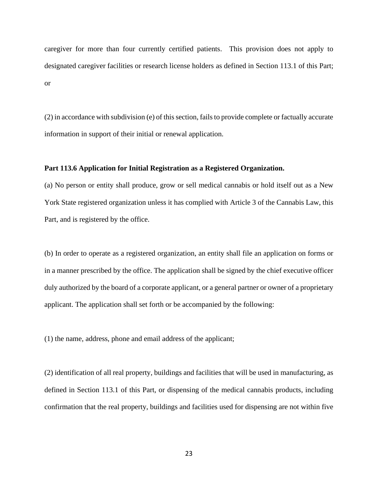caregiver for more than four currently certified patients. This provision does not apply to designated caregiver facilities or research license holders as defined in Section 113.1 of this Part; or

(2) in accordance with subdivision (e) of this section, fails to provide complete or factually accurate information in support of their initial or renewal application.

## **Part 113.6 Application for Initial Registration as a Registered Organization.**

(a) No person or entity shall produce, grow or sell medical cannabis or hold itself out as a New York State registered organization unless it has complied with Article 3 of the Cannabis Law, this Part, and is registered by the office.

(b) In order to operate as a registered organization, an entity shall file an application on forms or in a manner prescribed by the office. The application shall be signed by the chief executive officer duly authorized by the board of a corporate applicant, or a general partner or owner of a proprietary applicant. The application shall set forth or be accompanied by the following:

(1) the name, address, phone and email address of the applicant;

(2) identification of all real property, buildings and facilities that will be used in manufacturing, as defined in Section 113.1 of this Part, or dispensing of the medical cannabis products, including confirmation that the real property, buildings and facilities used for dispensing are not within five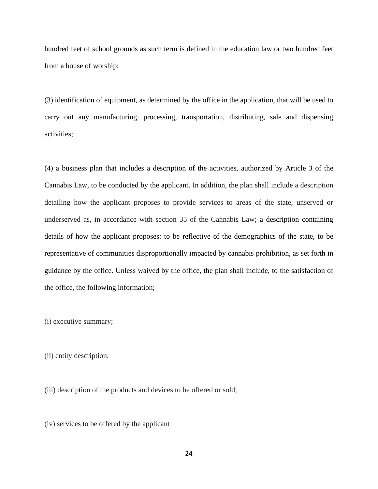hundred feet of school grounds as such term is defined in the education law or two hundred feet from a house of worship;

(3) identification of equipment, as determined by the office in the application, that will be used to carry out any manufacturing, processing, transportation, distributing, sale and dispensing activities;

(4) a business plan that includes a description of the activities, authorized by Article 3 of the Cannabis Law, to be conducted by the applicant. In addition, the plan shall include a description detailing how the applicant proposes to provide services to areas of the state, unserved or underserved as, in accordance with section 35 of the Cannabis Law; a description containing details of how the applicant proposes: to be reflective of the demographics of the state, to be representative of communities disproportionally impacted by cannabis prohibition, as set forth in guidance by the office. Unless waived by the office, the plan shall include, to the satisfaction of the office, the following information;

(i) executive summary;

(ii) entity description;

(iii) description of the products and devices to be offered or sold;

(iv) services to be offered by the applicant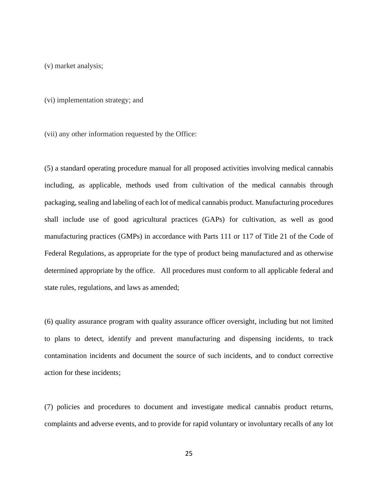(v) market analysis;

(vi) implementation strategy; and

(vii) any other information requested by the Office:

(5) a standard operating procedure manual for all proposed activities involving medical cannabis including, as applicable, methods used from cultivation of the medical cannabis through packaging, sealing and labeling of each lot of medical cannabis product. Manufacturing procedures shall include use of good agricultural practices (GAPs) for cultivation, as well as good manufacturing practices (GMPs) in accordance with Parts 111 or 117 of Title 21 of the Code of Federal Regulations, as appropriate for the type of product being manufactured and as otherwise determined appropriate by the office. All procedures must conform to all applicable federal and state rules, regulations, and laws as amended;

(6) quality assurance program with quality assurance officer oversight, including but not limited to plans to detect, identify and prevent manufacturing and dispensing incidents, to track contamination incidents and document the source of such incidents, and to conduct corrective action for these incidents;

(7) policies and procedures to document and investigate medical cannabis product returns, complaints and adverse events, and to provide for rapid voluntary or involuntary recalls of any lot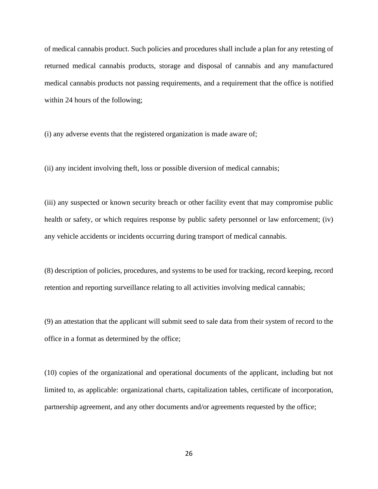of medical cannabis product. Such policies and procedures shall include a plan for any retesting of returned medical cannabis products, storage and disposal of cannabis and any manufactured medical cannabis products not passing requirements, and a requirement that the office is notified within 24 hours of the following;

(i) any adverse events that the registered organization is made aware of;

(ii) any incident involving theft, loss or possible diversion of medical cannabis;

(iii) any suspected or known security breach or other facility event that may compromise public health or safety, or which requires response by public safety personnel or law enforcement; (iv) any vehicle accidents or incidents occurring during transport of medical cannabis.

(8) description of policies, procedures, and systems to be used for tracking, record keeping, record retention and reporting surveillance relating to all activities involving medical cannabis;

(9) an attestation that the applicant will submit seed to sale data from their system of record to the office in a format as determined by the office;

(10) copies of the organizational and operational documents of the applicant, including but not limited to, as applicable: organizational charts, capitalization tables, certificate of incorporation, partnership agreement, and any other documents and/or agreements requested by the office;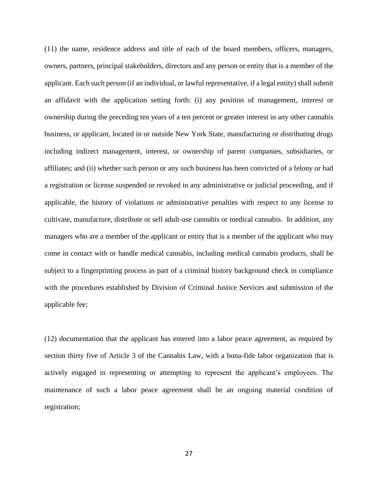(11) the name, residence address and title of each of the board members, officers, managers, owners, partners, principal stakeholders, directors and any person or entity that is a member of the applicant. Each such person (if an individual, or lawful representative, if a legal entity) shall submit an affidavit with the application setting forth: (i) any position of management, interest or ownership during the preceding ten years of a ten percent or greater interest in any other cannabis business, or applicant, located in or outside New York State, manufacturing or distributing drugs including indirect management, interest, or ownership of parent companies, subsidiaries, or affiliates; and (ii) whether such person or any such business has been convicted of a felony or had a registration or license suspended or revoked in any administrative or judicial proceeding, and if applicable, the history of violations or administrative penalties with respect to any license to cultivate, manufacture, distribute or sell adult-use cannabis or medical cannabis. In addition, any managers who are a member of the applicant or entity that is a member of the applicant who may come in contact with or handle medical cannabis, including medical cannabis products, shall be subject to a fingerprinting process as part of a criminal history background check in compliance with the procedures established by Division of Criminal Justice Services and submission of the applicable fee;

(12) documentation that the applicant has entered into a labor peace agreement, as required by section thirty five of Article 3 of the Cannabis Law, with a bona-fide labor organization that is actively engaged in representing or attempting to represent the applicant's employees. The maintenance of such a labor peace agreement shall be an ongoing material condition of registration;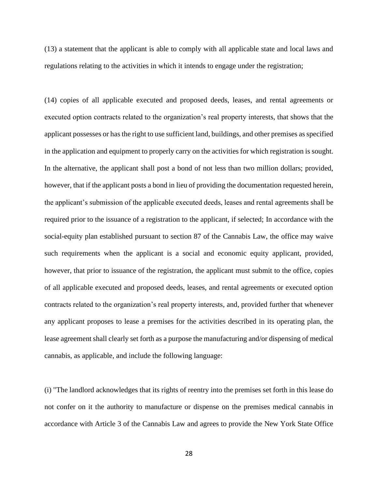(13) a statement that the applicant is able to comply with all applicable state and local laws and regulations relating to the activities in which it intends to engage under the registration;

(14) copies of all applicable executed and proposed deeds, leases, and rental agreements or executed option contracts related to the organization's real property interests, that shows that the applicant possesses or has the right to use sufficient land, buildings, and other premises as specified in the application and equipment to properly carry on the activities for which registration is sought. In the alternative, the applicant shall post a bond of not less than two million dollars; provided, however, that if the applicant posts a bond in lieu of providing the documentation requested herein, the applicant's submission of the applicable executed deeds, leases and rental agreements shall be required prior to the issuance of a registration to the applicant, if selected; In accordance with the social-equity plan established pursuant to section 87 of the Cannabis Law, the office may waive such requirements when the applicant is a social and economic equity applicant, provided, however, that prior to issuance of the registration, the applicant must submit to the office, copies of all applicable executed and proposed deeds, leases, and rental agreements or executed option contracts related to the organization's real property interests, and, provided further that whenever any applicant proposes to lease a premises for the activities described in its operating plan, the lease agreement shall clearly set forth as a purpose the manufacturing and/or dispensing of medical cannabis, as applicable, and include the following language:

(i) "The landlord acknowledges that its rights of reentry into the premises set forth in this lease do not confer on it the authority to manufacture or dispense on the premises medical cannabis in accordance with Article 3 of the Cannabis Law and agrees to provide the New York State Office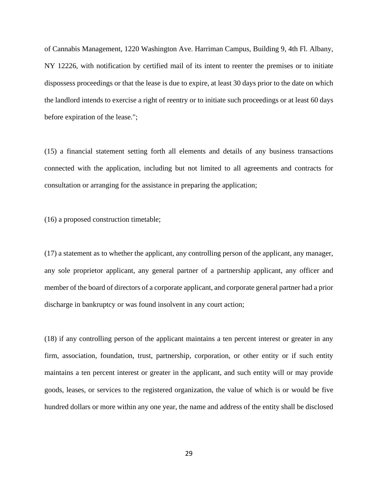of Cannabis Management, 1220 Washington Ave. Harriman Campus, Building 9, 4th Fl. Albany, NY 12226, with notification by certified mail of its intent to reenter the premises or to initiate dispossess proceedings or that the lease is due to expire, at least 30 days prior to the date on which the landlord intends to exercise a right of reentry or to initiate such proceedings or at least 60 days before expiration of the lease.";

(15) a financial statement setting forth all elements and details of any business transactions connected with the application, including but not limited to all agreements and contracts for consultation or arranging for the assistance in preparing the application;

(16) a proposed construction timetable;

(17) a statement as to whether the applicant, any controlling person of the applicant, any manager, any sole proprietor applicant, any general partner of a partnership applicant, any officer and member of the board of directors of a corporate applicant, and corporate general partner had a prior discharge in bankruptcy or was found insolvent in any court action;

(18) if any controlling person of the applicant maintains a ten percent interest or greater in any firm, association, foundation, trust, partnership, corporation, or other entity or if such entity maintains a ten percent interest or greater in the applicant, and such entity will or may provide goods, leases, or services to the registered organization, the value of which is or would be five hundred dollars or more within any one year, the name and address of the entity shall be disclosed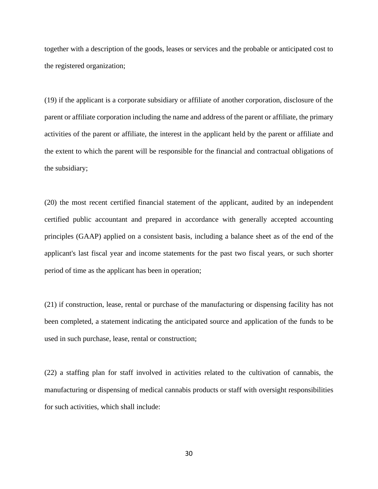together with a description of the goods, leases or services and the probable or anticipated cost to the registered organization;

(19) if the applicant is a corporate subsidiary or affiliate of another corporation, disclosure of the parent or affiliate corporation including the name and address of the parent or affiliate, the primary activities of the parent or affiliate, the interest in the applicant held by the parent or affiliate and the extent to which the parent will be responsible for the financial and contractual obligations of the subsidiary;

(20) the most recent certified financial statement of the applicant, audited by an independent certified public accountant and prepared in accordance with generally accepted accounting principles (GAAP) applied on a consistent basis, including a balance sheet as of the end of the applicant's last fiscal year and income statements for the past two fiscal years, or such shorter period of time as the applicant has been in operation;

(21) if construction, lease, rental or purchase of the manufacturing or dispensing facility has not been completed, a statement indicating the anticipated source and application of the funds to be used in such purchase, lease, rental or construction;

(22) a staffing plan for staff involved in activities related to the cultivation of cannabis, the manufacturing or dispensing of medical cannabis products or staff with oversight responsibilities for such activities, which shall include: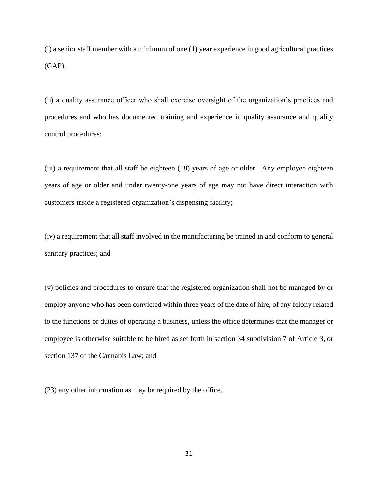(i) a senior staff member with a minimum of one (1) year experience in good agricultural practices  $(GAP);$ 

(ii) a quality assurance officer who shall exercise oversight of the organization's practices and procedures and who has documented training and experience in quality assurance and quality control procedures;

(iii) a requirement that all staff be eighteen (18) years of age or older. Any employee eighteen years of age or older and under twenty-one years of age may not have direct interaction with customers inside a registered organization's dispensing facility;

(iv) a requirement that all staff involved in the manufacturing be trained in and conform to general sanitary practices; and

(v) policies and procedures to ensure that the registered organization shall not be managed by or employ anyone who has been convicted within three years of the date of hire, of any felony related to the functions or duties of operating a business, unless the office determines that the manager or employee is otherwise suitable to be hired as set forth in section 34 subdivision 7 of Article 3, or section 137 of the Cannabis Law; and

(23) any other information as may be required by the office.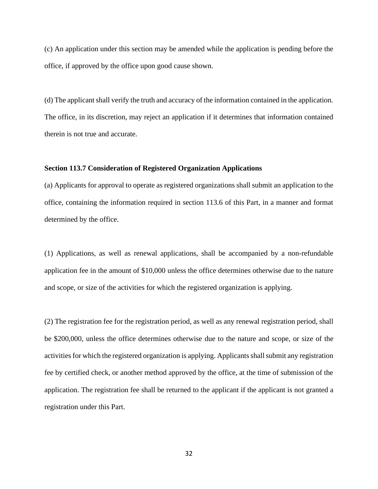(c) An application under this section may be amended while the application is pending before the office, if approved by the office upon good cause shown.

(d) The applicant shall verify the truth and accuracy of the information contained in the application. The office, in its discretion, may reject an application if it determines that information contained therein is not true and accurate.

## **Section 113.7 Consideration of Registered Organization Applications**

(a) Applicants for approval to operate as registered organizations shall submit an application to the office, containing the information required in section 113.6 of this Part, in a manner and format determined by the office.

(1) Applications, as well as renewal applications, shall be accompanied by a non-refundable application fee in the amount of \$10,000 unless the office determines otherwise due to the nature and scope, or size of the activities for which the registered organization is applying.

(2) The registration fee for the registration period, as well as any renewal registration period, shall be \$200,000, unless the office determines otherwise due to the nature and scope, or size of the activities for which the registered organization is applying. Applicants shall submit any registration fee by certified check, or another method approved by the office, at the time of submission of the application. The registration fee shall be returned to the applicant if the applicant is not granted a registration under this Part.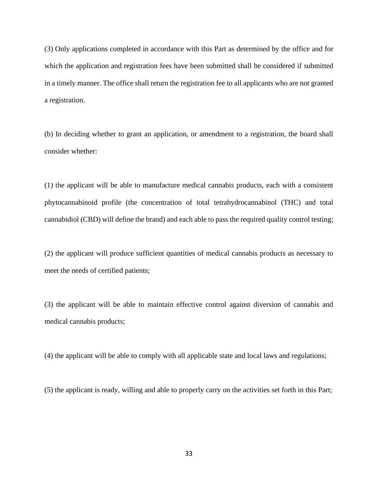(3) Only applications completed in accordance with this Part as determined by the office and for which the application and registration fees have been submitted shall be considered if submitted in a timely manner. The office shall return the registration fee to all applicants who are not granted a registration.

(b) In deciding whether to grant an application, or amendment to a registration, the board shall consider whether:

(1) the applicant will be able to manufacture medical cannabis products, each with a consistent phytocannabinoid profile (the concentration of total tetrahydrocannabinol (THC) and total cannabidiol (CBD) will define the brand) and each able to pass the required quality control testing;

(2) the applicant will produce sufficient quantities of medical cannabis products as necessary to meet the needs of certified patients;

(3) the applicant will be able to maintain effective control against diversion of cannabis and medical cannabis products;

(4) the applicant will be able to comply with all applicable state and local laws and regulations;

(5) the applicant is ready, willing and able to properly carry on the activities set forth in this Part;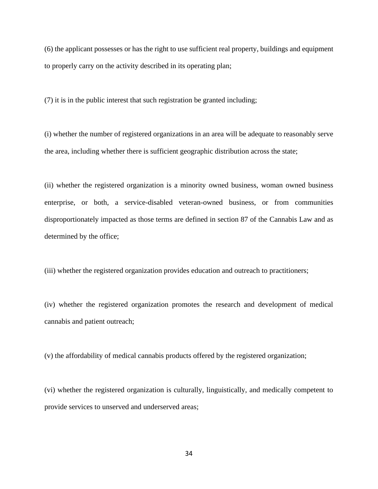(6) the applicant possesses or has the right to use sufficient real property, buildings and equipment to properly carry on the activity described in its operating plan;

(7) it is in the public interest that such registration be granted including;

(i) whether the number of registered organizations in an area will be adequate to reasonably serve the area, including whether there is sufficient geographic distribution across the state;

(ii) whether the registered organization is a minority owned business, woman owned business enterprise, or both, a service-disabled veteran-owned business, or from communities disproportionately impacted as those terms are defined in section 87 of the Cannabis Law and as determined by the office;

(iii) whether the registered organization provides education and outreach to practitioners;

(iv) whether the registered organization promotes the research and development of medical cannabis and patient outreach;

(v) the affordability of medical cannabis products offered by the registered organization;

(vi) whether the registered organization is culturally, linguistically, and medically competent to provide services to unserved and underserved areas;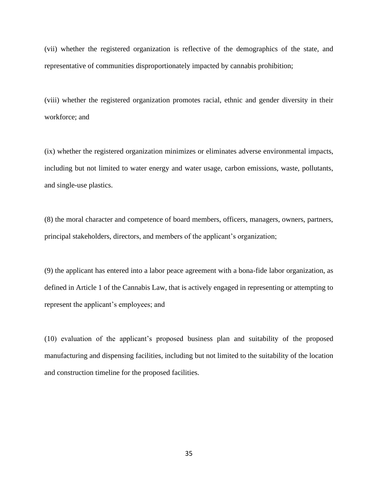(vii) whether the registered organization is reflective of the demographics of the state, and representative of communities disproportionately impacted by cannabis prohibition;

(viii) whether the registered organization promotes racial, ethnic and gender diversity in their workforce; and

(ix) whether the registered organization minimizes or eliminates adverse environmental impacts, including but not limited to water energy and water usage, carbon emissions, waste, pollutants, and single-use plastics.

(8) the moral character and competence of board members, officers, managers, owners, partners, principal stakeholders, directors, and members of the applicant's organization;

(9) the applicant has entered into a labor peace agreement with a bona-fide labor organization, as defined in Article 1 of the Cannabis Law, that is actively engaged in representing or attempting to represent the applicant's employees; and

(10) evaluation of the applicant's proposed business plan and suitability of the proposed manufacturing and dispensing facilities, including but not limited to the suitability of the location and construction timeline for the proposed facilities.

35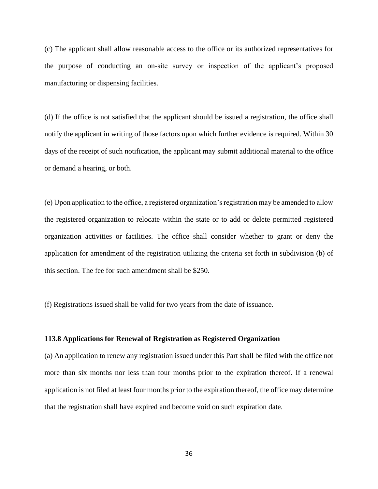(c) The applicant shall allow reasonable access to the office or its authorized representatives for the purpose of conducting an on-site survey or inspection of the applicant's proposed manufacturing or dispensing facilities.

(d) If the office is not satisfied that the applicant should be issued a registration, the office shall notify the applicant in writing of those factors upon which further evidence is required. Within 30 days of the receipt of such notification, the applicant may submit additional material to the office or demand a hearing, or both.

(e) Upon application to the office, a registered organization's registration may be amended to allow the registered organization to relocate within the state or to add or delete permitted registered organization activities or facilities. The office shall consider whether to grant or deny the application for amendment of the registration utilizing the criteria set forth in subdivision (b) of this section. The fee for such amendment shall be \$250.

(f) Registrations issued shall be valid for two years from the date of issuance.

#### **113.8 Applications for Renewal of Registration as Registered Organization**

(a) An application to renew any registration issued under this Part shall be filed with the office not more than six months nor less than four months prior to the expiration thereof. If a renewal application is not filed at least four months prior to the expiration thereof, the office may determine that the registration shall have expired and become void on such expiration date.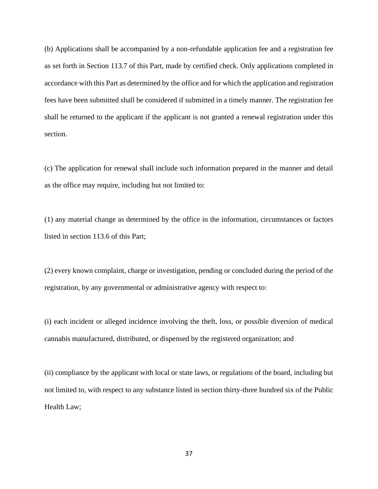(b) Applications shall be accompanied by a non-refundable application fee and a registration fee as set forth in Section 113.7 of this Part, made by certified check. Only applications completed in accordance with this Part as determined by the office and for which the application and registration fees have been submitted shall be considered if submitted in a timely manner. The registration fee shall be returned to the applicant if the applicant is not granted a renewal registration under this section.

(c) The application for renewal shall include such information prepared in the manner and detail as the office may require, including but not limited to:

(1) any material change as determined by the office in the information, circumstances or factors listed in section 113.6 of this Part;

(2) every known complaint, charge or investigation, pending or concluded during the period of the registration, by any governmental or administrative agency with respect to:

(i) each incident or alleged incidence involving the theft, loss, or possible diversion of medical cannabis manufactured, distributed, or dispensed by the registered organization; and

(ii) compliance by the applicant with local or state laws, or regulations of the board, including but not limited to, with respect to any substance listed in section thirty-three hundred six of the Public Health Law;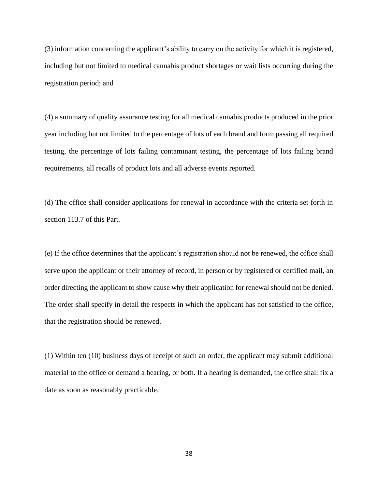(3) information concerning the applicant's ability to carry on the activity for which it is registered, including but not limited to medical cannabis product shortages or wait lists occurring during the registration period; and

(4) a summary of quality assurance testing for all medical cannabis products produced in the prior year including but not limited to the percentage of lots of each brand and form passing all required testing, the percentage of lots failing contaminant testing, the percentage of lots failing brand requirements, all recalls of product lots and all adverse events reported.

(d) The office shall consider applications for renewal in accordance with the criteria set forth in section 113.7 of this Part.

(e) If the office determines that the applicant's registration should not be renewed, the office shall serve upon the applicant or their attorney of record, in person or by registered or certified mail, an order directing the applicant to show cause why their application for renewal should not be denied. The order shall specify in detail the respects in which the applicant has not satisfied to the office, that the registration should be renewed.

(1) Within ten (10) business days of receipt of such an order, the applicant may submit additional material to the office or demand a hearing, or both. If a hearing is demanded, the office shall fix a date as soon as reasonably practicable.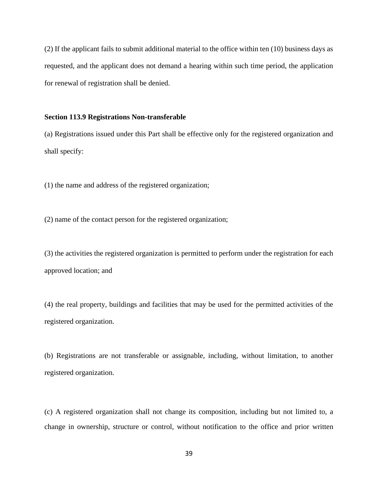(2) If the applicant fails to submit additional material to the office within ten (10) business days as requested, and the applicant does not demand a hearing within such time period, the application for renewal of registration shall be denied.

# **Section 113.9 Registrations Non-transferable**

(a) Registrations issued under this Part shall be effective only for the registered organization and shall specify:

(1) the name and address of the registered organization;

(2) name of the contact person for the registered organization;

(3) the activities the registered organization is permitted to perform under the registration for each approved location; and

(4) the real property, buildings and facilities that may be used for the permitted activities of the registered organization.

(b) Registrations are not transferable or assignable, including, without limitation, to another registered organization.

(c) A registered organization shall not change its composition, including but not limited to, a change in ownership, structure or control, without notification to the office and prior written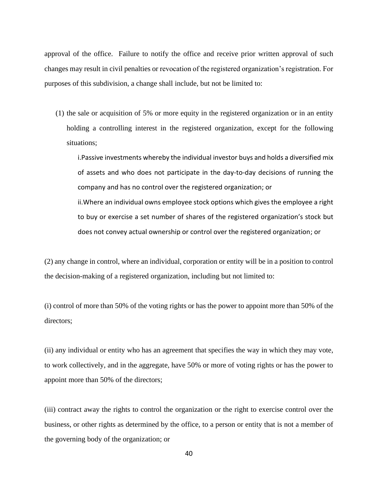approval of the office. Failure to notify the office and receive prior written approval of such changes may result in civil penalties or revocation of the registered organization's registration. For purposes of this subdivision, a change shall include, but not be limited to:

(1) the sale or acquisition of 5% or more equity in the registered organization or in an entity holding a controlling interest in the registered organization, except for the following situations;

i.Passive investments whereby the individual investor buys and holds a diversified mix of assets and who does not participate in the day-to-day decisions of running the company and has no control over the registered organization; or

ii.Where an individual owns employee stock options which gives the employee a right to buy or exercise a set number of shares of the registered organization's stock but does not convey actual ownership or control over the registered organization; or

(2) any change in control, where an individual, corporation or entity will be in a position to control the decision-making of a registered organization, including but not limited to:

(i) control of more than 50% of the voting rights or has the power to appoint more than 50% of the directors;

(ii) any individual or entity who has an agreement that specifies the way in which they may vote, to work collectively, and in the aggregate, have 50% or more of voting rights or has the power to appoint more than 50% of the directors;

(iii) contract away the rights to control the organization or the right to exercise control over the business, or other rights as determined by the office, to a person or entity that is not a member of the governing body of the organization; or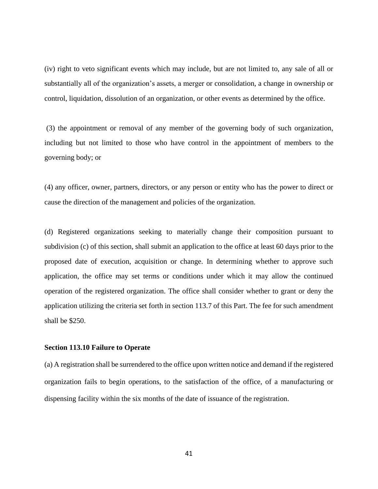(iv) right to veto significant events which may include, but are not limited to, any sale of all or substantially all of the organization's assets, a merger or consolidation, a change in ownership or control, liquidation, dissolution of an organization, or other events as determined by the office.

(3) the appointment or removal of any member of the governing body of such organization, including but not limited to those who have control in the appointment of members to the governing body; or

(4) any officer, owner, partners, directors, or any person or entity who has the power to direct or cause the direction of the management and policies of the organization.

(d) Registered organizations seeking to materially change their composition pursuant to subdivision (c) of this section, shall submit an application to the office at least 60 days prior to the proposed date of execution, acquisition or change. In determining whether to approve such application, the office may set terms or conditions under which it may allow the continued operation of the registered organization. The office shall consider whether to grant or deny the application utilizing the criteria set forth in section 113.7 of this Part. The fee for such amendment shall be \$250.

### **Section 113.10 Failure to Operate**

(a) A registration shall be surrendered to the office upon written notice and demand if the registered organization fails to begin operations, to the satisfaction of the office, of a manufacturing or dispensing facility within the six months of the date of issuance of the registration.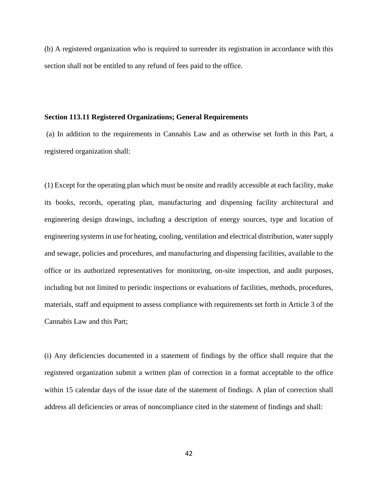(b) A registered organization who is required to surrender its registration in accordance with this section shall not be entitled to any refund of fees paid to the office.

# **Section 113.11 Registered Organizations; General Requirements**

(a) In addition to the requirements in Cannabis Law and as otherwise set forth in this Part, a registered organization shall:

(1) Except for the operating plan which must be onsite and readily accessible at each facility, make its books, records, operating plan, manufacturing and dispensing facility architectural and engineering design drawings, including a description of energy sources, type and location of engineering systems in use for heating, cooling, ventilation and electrical distribution, water supply and sewage, policies and procedures, and manufacturing and dispensing facilities, available to the office or its authorized representatives for monitoring, on-site inspection, and audit purposes, including but not limited to periodic inspections or evaluations of facilities, methods, procedures, materials, staff and equipment to assess compliance with requirements set forth in Article 3 of the Cannabis Law and this Part;

(i) Any deficiencies documented in a statement of findings by the office shall require that the registered organization submit a written plan of correction in a format acceptable to the office within 15 calendar days of the issue date of the statement of findings. A plan of correction shall address all deficiencies or areas of noncompliance cited in the statement of findings and shall: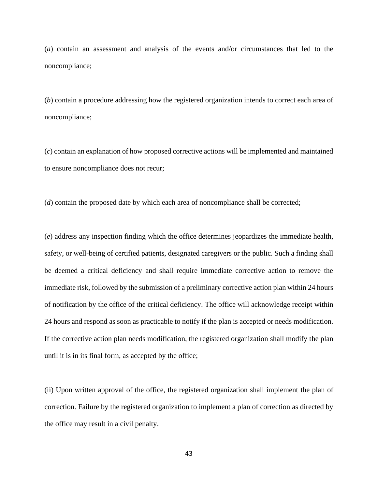(*a*) contain an assessment and analysis of the events and/or circumstances that led to the noncompliance;

(*b*) contain a procedure addressing how the registered organization intends to correct each area of noncompliance;

(*c*) contain an explanation of how proposed corrective actions will be implemented and maintained to ensure noncompliance does not recur;

(*d*) contain the proposed date by which each area of noncompliance shall be corrected;

(*e*) address any inspection finding which the office determines jeopardizes the immediate health, safety, or well-being of certified patients, designated caregivers or the public. Such a finding shall be deemed a critical deficiency and shall require immediate corrective action to remove the immediate risk, followed by the submission of a preliminary corrective action plan within 24 hours of notification by the office of the critical deficiency. The office will acknowledge receipt within 24 hours and respond as soon as practicable to notify if the plan is accepted or needs modification. If the corrective action plan needs modification, the registered organization shall modify the plan until it is in its final form, as accepted by the office;

(ii) Upon written approval of the office, the registered organization shall implement the plan of correction. Failure by the registered organization to implement a plan of correction as directed by the office may result in a civil penalty.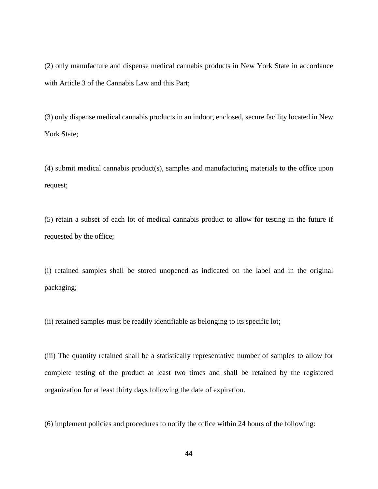(2) only manufacture and dispense medical cannabis products in New York State in accordance with Article 3 of the Cannabis Law and this Part;

(3) only dispense medical cannabis products in an indoor, enclosed, secure facility located in New York State;

(4) submit medical cannabis product(s), samples and manufacturing materials to the office upon request;

(5) retain a subset of each lot of medical cannabis product to allow for testing in the future if requested by the office;

(i) retained samples shall be stored unopened as indicated on the label and in the original packaging;

(ii) retained samples must be readily identifiable as belonging to its specific lot;

(iii) The quantity retained shall be a statistically representative number of samples to allow for complete testing of the product at least two times and shall be retained by the registered organization for at least thirty days following the date of expiration.

(6) implement policies and procedures to notify the office within 24 hours of the following: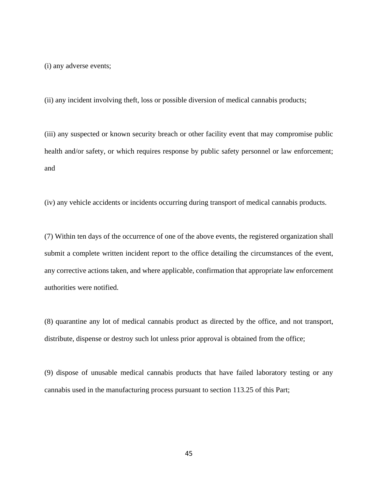(i) any adverse events;

(ii) any incident involving theft, loss or possible diversion of medical cannabis products;

(iii) any suspected or known security breach or other facility event that may compromise public health and/or safety, or which requires response by public safety personnel or law enforcement; and

(iv) any vehicle accidents or incidents occurring during transport of medical cannabis products.

(7) Within ten days of the occurrence of one of the above events, the registered organization shall submit a complete written incident report to the office detailing the circumstances of the event, any corrective actions taken, and where applicable, confirmation that appropriate law enforcement authorities were notified.

(8) quarantine any lot of medical cannabis product as directed by the office, and not transport, distribute, dispense or destroy such lot unless prior approval is obtained from the office;

(9) dispose of unusable medical cannabis products that have failed laboratory testing or any cannabis used in the manufacturing process pursuant to section 113.25 of this Part;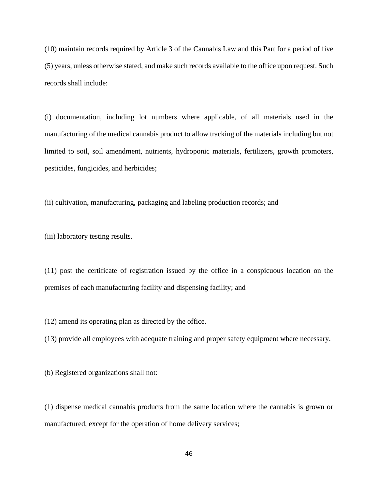(10) maintain records required by Article 3 of the Cannabis Law and this Part for a period of five (5) years, unless otherwise stated, and make such records available to the office upon request. Such records shall include:

(i) documentation, including lot numbers where applicable, of all materials used in the manufacturing of the medical cannabis product to allow tracking of the materials including but not limited to soil, soil amendment, nutrients, hydroponic materials, fertilizers, growth promoters, pesticides, fungicides, and herbicides;

(ii) cultivation, manufacturing, packaging and labeling production records; and

(iii) laboratory testing results.

(11) post the certificate of registration issued by the office in a conspicuous location on the premises of each manufacturing facility and dispensing facility; and

(12) amend its operating plan as directed by the office.

(13) provide all employees with adequate training and proper safety equipment where necessary.

(b) Registered organizations shall not:

(1) dispense medical cannabis products from the same location where the cannabis is grown or manufactured, except for the operation of home delivery services;

46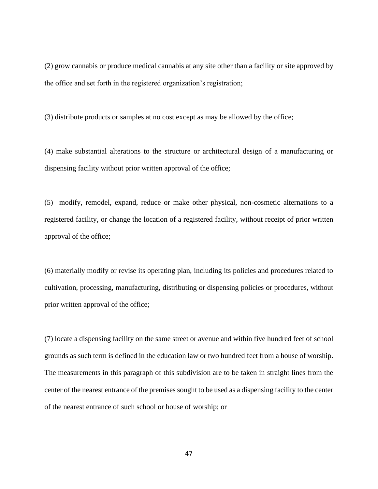(2) grow cannabis or produce medical cannabis at any site other than a facility or site approved by the office and set forth in the registered organization's registration;

(3) distribute products or samples at no cost except as may be allowed by the office;

(4) make substantial alterations to the structure or architectural design of a manufacturing or dispensing facility without prior written approval of the office;

(5) modify, remodel, expand, reduce or make other physical, non-cosmetic alternations to a registered facility, or change the location of a registered facility, without receipt of prior written approval of the office;

(6) materially modify or revise its operating plan, including its policies and procedures related to cultivation, processing, manufacturing, distributing or dispensing policies or procedures, without prior written approval of the office;

(7) locate a dispensing facility on the same street or avenue and within five hundred feet of school grounds as such term is defined in the education law or two hundred feet from a house of worship. The measurements in this paragraph of this subdivision are to be taken in straight lines from the center of the nearest entrance of the premises sought to be used as a dispensing facility to the center of the nearest entrance of such school or house of worship; or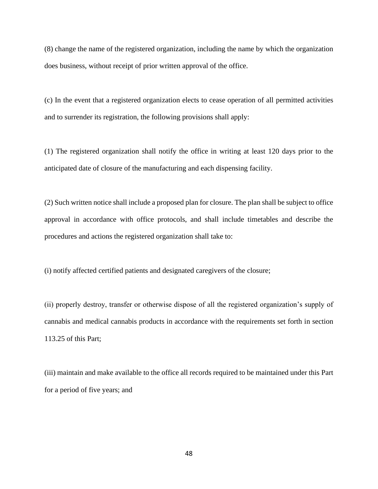(8) change the name of the registered organization, including the name by which the organization does business, without receipt of prior written approval of the office.

(c) In the event that a registered organization elects to cease operation of all permitted activities and to surrender its registration, the following provisions shall apply:

(1) The registered organization shall notify the office in writing at least 120 days prior to the anticipated date of closure of the manufacturing and each dispensing facility.

(2) Such written notice shall include a proposed plan for closure. The plan shall be subject to office approval in accordance with office protocols, and shall include timetables and describe the procedures and actions the registered organization shall take to:

(i) notify affected certified patients and designated caregivers of the closure;

(ii) properly destroy, transfer or otherwise dispose of all the registered organization's supply of cannabis and medical cannabis products in accordance with the requirements set forth in section 113.25 of this Part;

(iii) maintain and make available to the office all records required to be maintained under this Part for a period of five years; and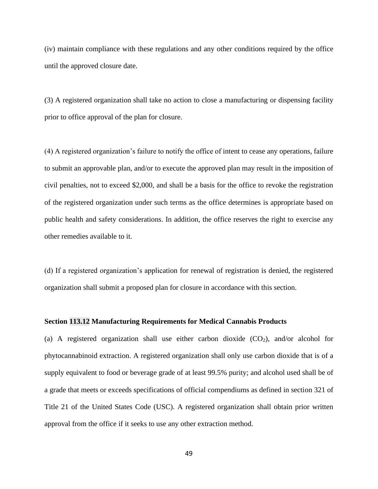(iv) maintain compliance with these regulations and any other conditions required by the office until the approved closure date.

(3) A registered organization shall take no action to close a manufacturing or dispensing facility prior to office approval of the plan for closure.

(4) A registered organization's failure to notify the office of intent to cease any operations, failure to submit an approvable plan, and/or to execute the approved plan may result in the imposition of civil penalties, not to exceed \$2,000, and shall be a basis for the office to revoke the registration of the registered organization under such terms as the office determines is appropriate based on public health and safety considerations. In addition, the office reserves the right to exercise any other remedies available to it.

(d) If a registered organization's application for renewal of registration is denied, the registered organization shall submit a proposed plan for closure in accordance with this section.

### **Section 113.12 Manufacturing Requirements for Medical Cannabis Products**

(a) A registered organization shall use either carbon dioxide  $(CO<sub>2</sub>)$ , and/or alcohol for phytocannabinoid extraction. A registered organization shall only use carbon dioxide that is of a supply equivalent to food or beverage grade of at least 99.5% purity; and alcohol used shall be of a grade that meets or exceeds specifications of official compendiums as defined in section 321 of Title 21 of the United States Code (USC). A registered organization shall obtain prior written approval from the office if it seeks to use any other extraction method.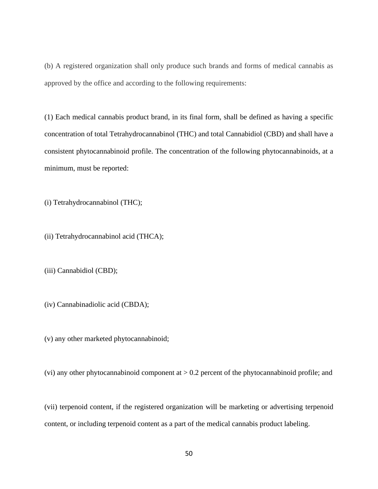(b) A registered organization shall only produce such brands and forms of medical cannabis as approved by the office and according to the following requirements:

(1) Each medical cannabis product brand, in its final form, shall be defined as having a specific concentration of total Tetrahydrocannabinol (THC) and total Cannabidiol (CBD) and shall have a consistent phytocannabinoid profile. The concentration of the following phytocannabinoids, at a minimum, must be reported:

(i) Tetrahydrocannabinol (THC);

(ii) Tetrahydrocannabinol acid (THCA);

(iii) Cannabidiol (CBD);

(iv) Cannabinadiolic acid (CBDA);

(v) any other marketed phytocannabinoid;

(vi) any other phytocannabinoid component at  $> 0.2$  percent of the phytocannabinoid profile; and

(vii) terpenoid content, if the registered organization will be marketing or advertising terpenoid content, or including terpenoid content as a part of the medical cannabis product labeling.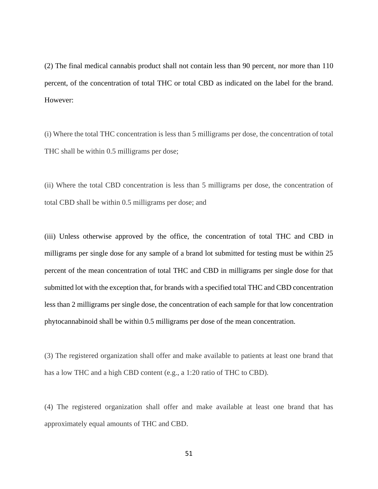(2) The final medical cannabis product shall not contain less than 90 percent, nor more than 110 percent, of the concentration of total THC or total CBD as indicated on the label for the brand. However:

(i) Where the total THC concentration is less than 5 milligrams per dose, the concentration of total THC shall be within 0.5 milligrams per dose;

(ii) Where the total CBD concentration is less than 5 milligrams per dose, the concentration of total CBD shall be within 0.5 milligrams per dose; and

(iii) Unless otherwise approved by the office, the concentration of total THC and CBD in milligrams per single dose for any sample of a brand lot submitted for testing must be within 25 percent of the mean concentration of total THC and CBD in milligrams per single dose for that submitted lot with the exception that, for brands with a specified total THC and CBD concentration less than 2 milligrams per single dose, the concentration of each sample for that low concentration phytocannabinoid shall be within 0.5 milligrams per dose of the mean concentration.

(3) The registered organization shall offer and make available to patients at least one brand that has a low THC and a high CBD content (e.g., a 1:20 ratio of THC to CBD).

(4) The registered organization shall offer and make available at least one brand that has approximately equal amounts of THC and CBD.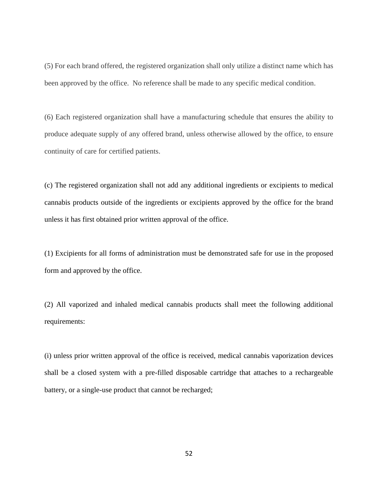(5) For each brand offered, the registered organization shall only utilize a distinct name which has been approved by the office. No reference shall be made to any specific medical condition.

(6) Each registered organization shall have a manufacturing schedule that ensures the ability to produce adequate supply of any offered brand, unless otherwise allowed by the office, to ensure continuity of care for certified patients.

(c) The registered organization shall not add any additional ingredients or excipients to medical cannabis products outside of the ingredients or excipients approved by the office for the brand unless it has first obtained prior written approval of the office.

(1) Excipients for all forms of administration must be demonstrated safe for use in the proposed form and approved by the office.

(2) All vaporized and inhaled medical cannabis products shall meet the following additional requirements:

(i) unless prior written approval of the office is received, medical cannabis vaporization devices shall be a closed system with a pre-filled disposable cartridge that attaches to a rechargeable battery, or a single-use product that cannot be recharged;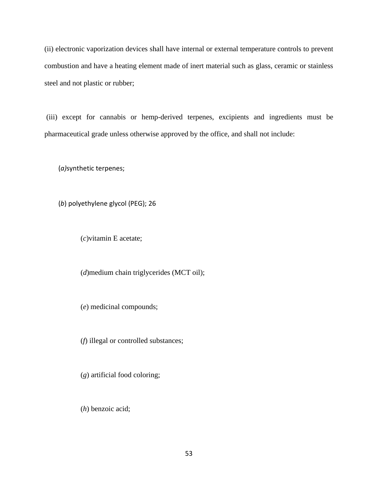(ii) electronic vaporization devices shall have internal or external temperature controls to prevent combustion and have a heating element made of inert material such as glass, ceramic or stainless steel and not plastic or rubber;

(iii) except for cannabis or hemp-derived terpenes, excipients and ingredients must be pharmaceutical grade unless otherwise approved by the office, and shall not include:

(*a)*synthetic terpenes;

(*b*) polyethylene glycol (PEG); 26

(*c*)vitamin E acetate;

(*d*)medium chain triglycerides (MCT oil);

(*e*) medicinal compounds;

(*f*) illegal or controlled substances;

(*g*) artificial food coloring;

(*h*) benzoic acid;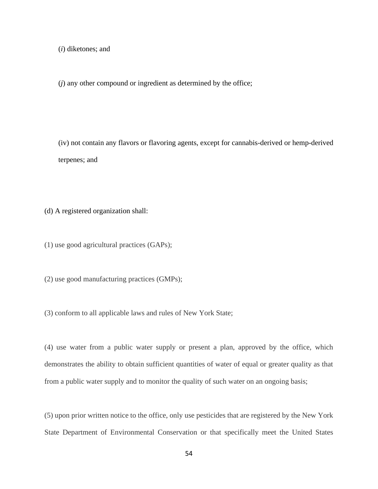(*i*) diketones; and

(*j*) any other compound or ingredient as determined by the office;

(iv) not contain any flavors or flavoring agents, except for cannabis-derived or hemp-derived terpenes; and

(d) A registered organization shall:

(1) use good agricultural practices (GAPs);

(2) use good manufacturing practices (GMPs);

(3) conform to all applicable laws and rules of New York State;

(4) use water from a public water supply or present a plan, approved by the office, which demonstrates the ability to obtain sufficient quantities of water of equal or greater quality as that from a public water supply and to monitor the quality of such water on an ongoing basis;

(5) upon prior written notice to the office, only use pesticides that are registered by the New York State Department of Environmental Conservation or that specifically meet the United States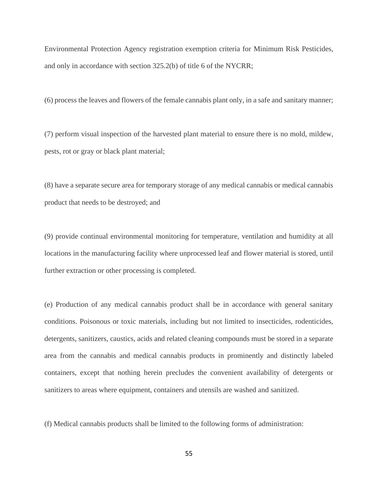Environmental Protection Agency registration exemption criteria for Minimum Risk Pesticides, and only in accordance with section 325.2(b) of title 6 of the NYCRR;

(6) process the leaves and flowers of the female cannabis plant only, in a safe and sanitary manner;

(7) perform visual inspection of the harvested plant material to ensure there is no mold, mildew, pests, rot or gray or black plant material;

(8) have a separate secure area for temporary storage of any medical cannabis or medical cannabis product that needs to be destroyed; and

(9) provide continual environmental monitoring for temperature, ventilation and humidity at all locations in the manufacturing facility where unprocessed leaf and flower material is stored, until further extraction or other processing is completed.

(e) Production of any medical cannabis product shall be in accordance with general sanitary conditions. Poisonous or toxic materials, including but not limited to insecticides, rodenticides, detergents, sanitizers, caustics, acids and related cleaning compounds must be stored in a separate area from the cannabis and medical cannabis products in prominently and distinctly labeled containers, except that nothing herein precludes the convenient availability of detergents or sanitizers to areas where equipment, containers and utensils are washed and sanitized.

(f) Medical cannabis products shall be limited to the following forms of administration: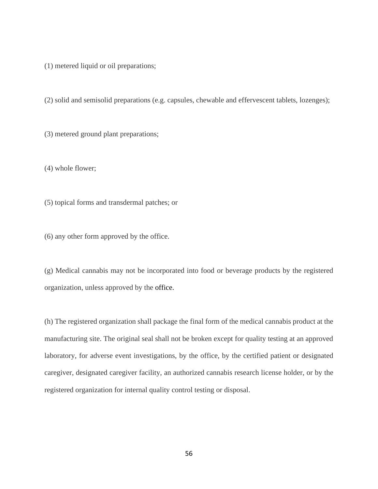(1) metered liquid or oil preparations;

(2) solid and semisolid preparations (e.g. capsules, chewable and effervescent tablets, lozenges);

(3) metered ground plant preparations;

(4) whole flower;

(5) topical forms and transdermal patches; or

(6) any other form approved by the office.

(g) Medical cannabis may not be incorporated into food or beverage products by the registered organization, unless approved by the office.

(h) The registered organization shall package the final form of the medical cannabis product at the manufacturing site. The original seal shall not be broken except for quality testing at an approved laboratory, for adverse event investigations, by the office, by the certified patient or designated caregiver, designated caregiver facility, an authorized cannabis research license holder, or by the registered organization for internal quality control testing or disposal.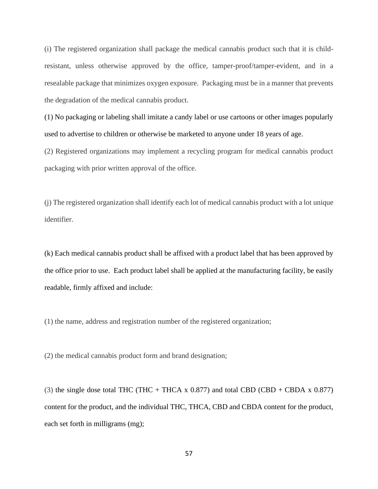(i) The registered organization shall package the medical cannabis product such that it is childresistant, unless otherwise approved by the office, tamper-proof/tamper-evident, and in a resealable package that minimizes oxygen exposure. Packaging must be in a manner that prevents the degradation of the medical cannabis product.

(1) No packaging or labeling shall imitate a candy label or use cartoons or other images popularly used to advertise to children or otherwise be marketed to anyone under 18 years of age.

(2) Registered organizations may implement a recycling program for medical cannabis product packaging with prior written approval of the office.

(j) The registered organization shall identify each lot of medical cannabis product with a lot unique identifier.

(k) Each medical cannabis product shall be affixed with a product label that has been approved by the office prior to use. Each product label shall be applied at the manufacturing facility, be easily readable, firmly affixed and include:

(1) the name, address and registration number of the registered organization;

(2) the medical cannabis product form and brand designation;

(3) the single dose total THC (THC + THCA x  $0.877$ ) and total CBD (CBD + CBDA x  $0.877$ ) content for the product, and the individual THC, THCA, CBD and CBDA content for the product, each set forth in milligrams (mg);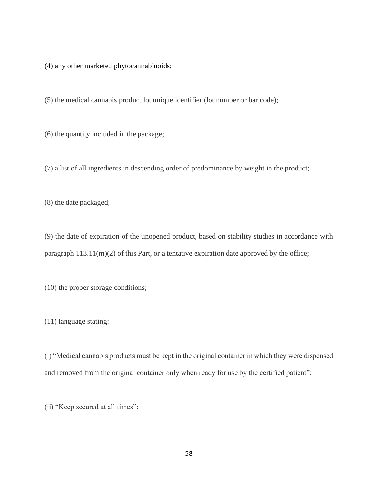(4) any other marketed phytocannabinoids;

(5) the medical cannabis product lot unique identifier (lot number or bar code);

(6) the quantity included in the package;

(7) a list of all ingredients in descending order of predominance by weight in the product;

(8) the date packaged;

(9) the date of expiration of the unopened product, based on stability studies in accordance with paragraph  $113.11(m)(2)$  of this Part, or a tentative expiration date approved by the office;

(10) the proper storage conditions;

(11) language stating:

(i) "Medical cannabis products must be kept in the original container in which they were dispensed and removed from the original container only when ready for use by the certified patient";

(ii) "Keep secured at all times";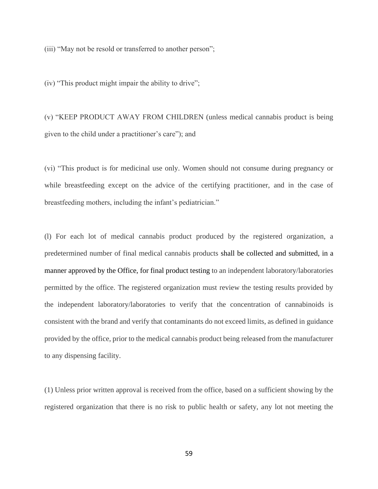(iii) "May not be resold or transferred to another person";

(iv) "This product might impair the ability to drive";

(v) "KEEP PRODUCT AWAY FROM CHILDREN (unless medical cannabis product is being given to the child under a practitioner's care"); and

(vi) "This product is for medicinal use only. Women should not consume during pregnancy or while breastfeeding except on the advice of the certifying practitioner, and in the case of breastfeeding mothers, including the infant's pediatrician."

(l) For each lot of medical cannabis product produced by the registered organization, a predetermined number of final medical cannabis products shall be collected and submitted, in a manner approved by the Office, for final product testing to an independent laboratory/laboratories permitted by the office. The registered organization must review the testing results provided by the independent laboratory/laboratories to verify that the concentration of cannabinoids is consistent with the brand and verify that contaminants do not exceed limits, as defined in guidance provided by the office, prior to the medical cannabis product being released from the manufacturer to any dispensing facility.

(1) Unless prior written approval is received from the office, based on a sufficient showing by the registered organization that there is no risk to public health or safety, any lot not meeting the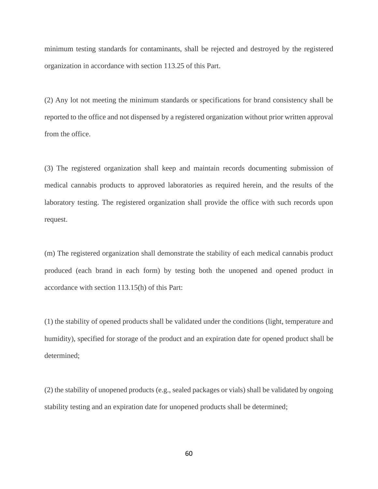minimum testing standards for contaminants, shall be rejected and destroyed by the registered organization in accordance with section 113.25 of this Part.

(2) Any lot not meeting the minimum standards or specifications for brand consistency shall be reported to the office and not dispensed by a registered organization without prior written approval from the office.

(3) The registered organization shall keep and maintain records documenting submission of medical cannabis products to approved laboratories as required herein, and the results of the laboratory testing. The registered organization shall provide the office with such records upon request.

(m) The registered organization shall demonstrate the stability of each medical cannabis product produced (each brand in each form) by testing both the unopened and opened product in accordance with section 113.15(h) of this Part:

(1) the stability of opened products shall be validated under the conditions (light, temperature and humidity), specified for storage of the product and an expiration date for opened product shall be determined;

(2) the stability of unopened products (e.g., sealed packages or vials) shall be validated by ongoing stability testing and an expiration date for unopened products shall be determined;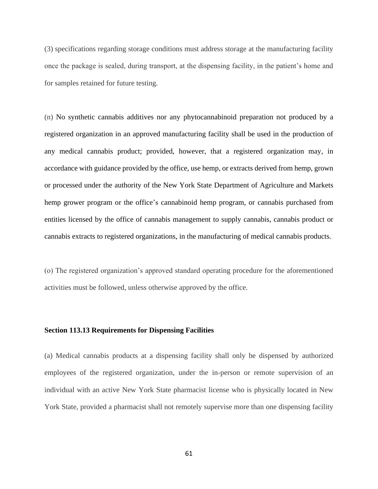(3) specifications regarding storage conditions must address storage at the manufacturing facility once the package is sealed, during transport, at the dispensing facility, in the patient's home and for samples retained for future testing.

(n) No synthetic cannabis additives nor any phytocannabinoid preparation not produced by a registered organization in an approved manufacturing facility shall be used in the production of any medical cannabis product; provided, however, that a registered organization may, in accordance with guidance provided by the office, use hemp, or extracts derived from hemp, grown or processed under the authority of the New York State Department of Agriculture and Markets hemp grower program or the office's cannabinoid hemp program, or cannabis purchased from entities licensed by the office of cannabis management to supply cannabis, cannabis product or cannabis extracts to registered organizations, in the manufacturing of medical cannabis products.

(o) The registered organization's approved standard operating procedure for the aforementioned activities must be followed, unless otherwise approved by the office.

# **Section 113.13 Requirements for Dispensing Facilities**

(a) Medical cannabis products at a dispensing facility shall only be dispensed by authorized employees of the registered organization, under the in-person or remote supervision of an individual with an active New York State pharmacist license who is physically located in New York State, provided a pharmacist shall not remotely supervise more than one dispensing facility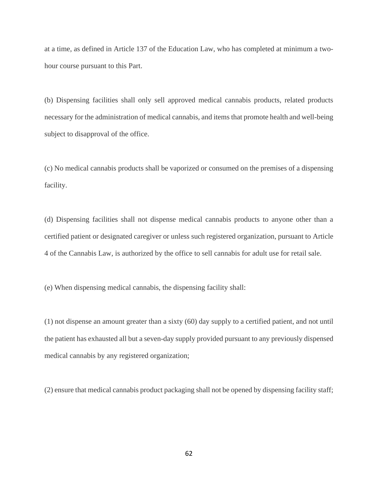at a time, as defined in Article 137 of the Education Law, who has completed at minimum a twohour course pursuant to this Part.

(b) Dispensing facilities shall only sell approved medical cannabis products, related products necessary for the administration of medical cannabis, and items that promote health and well-being subject to disapproval of the office.

(c) No medical cannabis products shall be vaporized or consumed on the premises of a dispensing facility.

(d) Dispensing facilities shall not dispense medical cannabis products to anyone other than a certified patient or designated caregiver or unless such registered organization, pursuant to Article 4 of the Cannabis Law, is authorized by the office to sell cannabis for adult use for retail sale.

(e) When dispensing medical cannabis, the dispensing facility shall:

(1) not dispense an amount greater than a sixty (60) day supply to a certified patient, and not until the patient has exhausted all but a seven-day supply provided pursuant to any previously dispensed medical cannabis by any registered organization;

(2) ensure that medical cannabis product packaging shall not be opened by dispensing facility staff;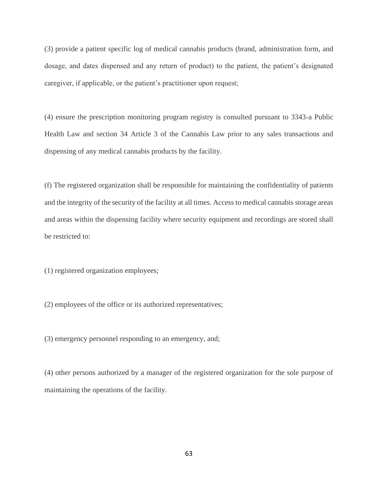(3) provide a patient specific log of medical cannabis products (brand, administration form, and dosage, and dates dispensed and any return of product) to the patient, the patient's designated caregiver, if applicable, or the patient's practitioner upon request;

(4) ensure the prescription monitoring program registry is consulted pursuant to 3343-a Public Health Law and section 34 Article 3 of the Cannabis Law prior to any sales transactions and dispensing of any medical cannabis products by the facility.

(f) The registered organization shall be responsible for maintaining the confidentiality of patients and the integrity of the security of the facility at all times. Access to medical cannabis storage areas and areas within the dispensing facility where security equipment and recordings are stored shall be restricted to:

(1) registered organization employees;

(2) employees of the office or its authorized representatives;

(3) emergency personnel responding to an emergency, and;

(4) other persons authorized by a manager of the registered organization for the sole purpose of maintaining the operations of the facility.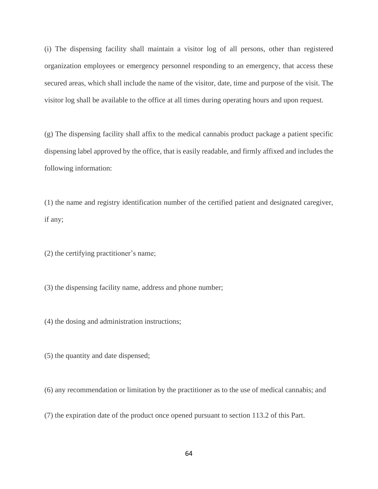(i) The dispensing facility shall maintain a visitor log of all persons, other than registered organization employees or emergency personnel responding to an emergency, that access these secured areas, which shall include the name of the visitor, date, time and purpose of the visit. The visitor log shall be available to the office at all times during operating hours and upon request.

(g) The dispensing facility shall affix to the medical cannabis product package a patient specific dispensing label approved by the office, that is easily readable, and firmly affixed and includes the following information:

(1) the name and registry identification number of the certified patient and designated caregiver, if any;

(2) the certifying practitioner's name;

(3) the dispensing facility name, address and phone number;

(4) the dosing and administration instructions;

(5) the quantity and date dispensed;

(6) any recommendation or limitation by the practitioner as to the use of medical cannabis; and

(7) the expiration date of the product once opened pursuant to section 113.2 of this Part.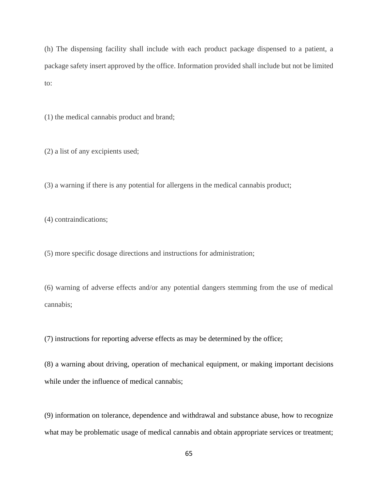(h) The dispensing facility shall include with each product package dispensed to a patient, a package safety insert approved by the office. Information provided shall include but not be limited to:

(1) the medical cannabis product and brand;

(2) a list of any excipients used;

(3) a warning if there is any potential for allergens in the medical cannabis product;

(4) contraindications;

(5) more specific dosage directions and instructions for administration;

(6) warning of adverse effects and/or any potential dangers stemming from the use of medical cannabis;

(7) instructions for reporting adverse effects as may be determined by the office;

(8) a warning about driving, operation of mechanical equipment, or making important decisions while under the influence of medical cannabis;

(9) information on tolerance, dependence and withdrawal and substance abuse, how to recognize what may be problematic usage of medical cannabis and obtain appropriate services or treatment;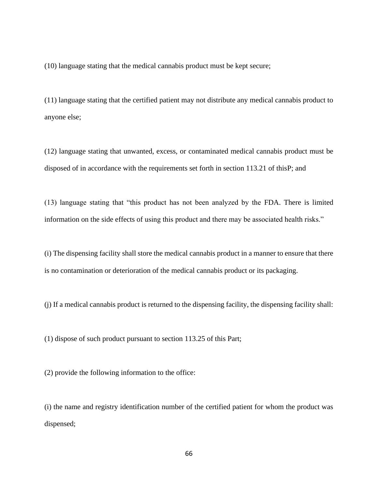(10) language stating that the medical cannabis product must be kept secure;

(11) language stating that the certified patient may not distribute any medical cannabis product to anyone else;

(12) language stating that unwanted, excess, or contaminated medical cannabis product must be disposed of in accordance with the requirements set forth in section 113.21 of thisP; and

(13) language stating that "this product has not been analyzed by the FDA. There is limited information on the side effects of using this product and there may be associated health risks."

(i) The dispensing facility shall store the medical cannabis product in a manner to ensure that there is no contamination or deterioration of the medical cannabis product or its packaging.

(j) If a medical cannabis product is returned to the dispensing facility, the dispensing facility shall:

(1) dispose of such product pursuant to section 113.25 of this Part;

(2) provide the following information to the office:

(i) the name and registry identification number of the certified patient for whom the product was dispensed;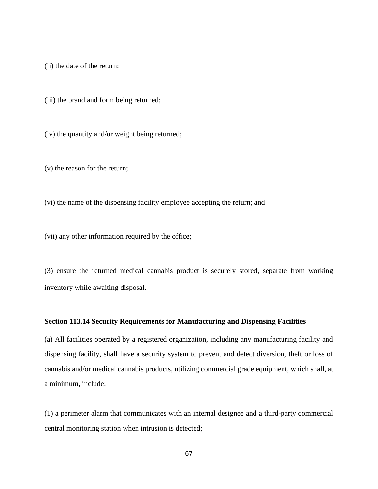(ii) the date of the return;

(iii) the brand and form being returned;

(iv) the quantity and/or weight being returned;

(v) the reason for the return;

(vi) the name of the dispensing facility employee accepting the return; and

(vii) any other information required by the office;

(3) ensure the returned medical cannabis product is securely stored, separate from working inventory while awaiting disposal.

# **Section 113.14 Security Requirements for Manufacturing and Dispensing Facilities**

(a) All facilities operated by a registered organization, including any manufacturing facility and dispensing facility, shall have a security system to prevent and detect diversion, theft or loss of cannabis and/or medical cannabis products, utilizing commercial grade equipment, which shall, at a minimum, include:

(1) a perimeter alarm that communicates with an internal designee and a third-party commercial central monitoring station when intrusion is detected;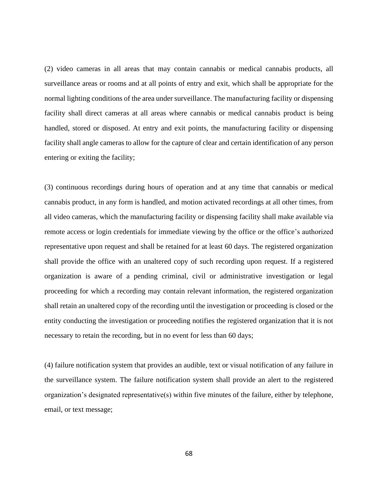(2) video cameras in all areas that may contain cannabis or medical cannabis products, all surveillance areas or rooms and at all points of entry and exit, which shall be appropriate for the normal lighting conditions of the area under surveillance. The manufacturing facility or dispensing facility shall direct cameras at all areas where cannabis or medical cannabis product is being handled, stored or disposed. At entry and exit points, the manufacturing facility or dispensing facility shall angle cameras to allow for the capture of clear and certain identification of any person entering or exiting the facility;

(3) continuous recordings during hours of operation and at any time that cannabis or medical cannabis product, in any form is handled, and motion activated recordings at all other times, from all video cameras, which the manufacturing facility or dispensing facility shall make available via remote access or login credentials for immediate viewing by the office or the office's authorized representative upon request and shall be retained for at least 60 days. The registered organization shall provide the office with an unaltered copy of such recording upon request. If a registered organization is aware of a pending criminal, civil or administrative investigation or legal proceeding for which a recording may contain relevant information, the registered organization shall retain an unaltered copy of the recording until the investigation or proceeding is closed or the entity conducting the investigation or proceeding notifies the registered organization that it is not necessary to retain the recording, but in no event for less than 60 days;

(4) failure notification system that provides an audible, text or visual notification of any failure in the surveillance system. The failure notification system shall provide an alert to the registered organization's designated representative(s) within five minutes of the failure, either by telephone, email, or text message;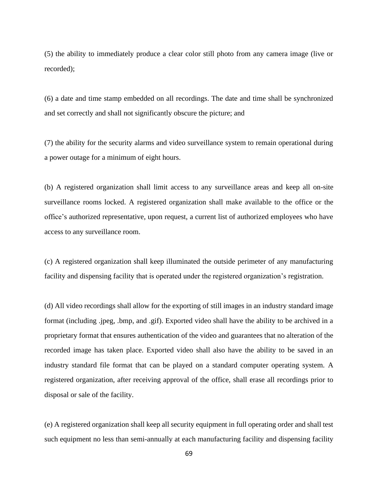(5) the ability to immediately produce a clear color still photo from any camera image (live or recorded);

(6) a date and time stamp embedded on all recordings. The date and time shall be synchronized and set correctly and shall not significantly obscure the picture; and

(7) the ability for the security alarms and video surveillance system to remain operational during a power outage for a minimum of eight hours.

(b) A registered organization shall limit access to any surveillance areas and keep all on-site surveillance rooms locked. A registered organization shall make available to the office or the office's authorized representative, upon request, a current list of authorized employees who have access to any surveillance room.

(c) A registered organization shall keep illuminated the outside perimeter of any manufacturing facility and dispensing facility that is operated under the registered organization's registration.

(d) All video recordings shall allow for the exporting of still images in an industry standard image format (including .jpeg, .bmp, and .gif). Exported video shall have the ability to be archived in a proprietary format that ensures authentication of the video and guarantees that no alteration of the recorded image has taken place. Exported video shall also have the ability to be saved in an industry standard file format that can be played on a standard computer operating system. A registered organization, after receiving approval of the office, shall erase all recordings prior to disposal or sale of the facility.

(e) A registered organization shall keep all security equipment in full operating order and shall test such equipment no less than semi-annually at each manufacturing facility and dispensing facility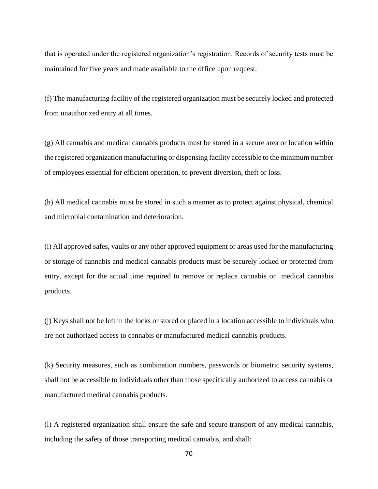that is operated under the registered organization's registration. Records of security tests must be maintained for five years and made available to the office upon request.

(f) The manufacturing facility of the registered organization must be securely locked and protected from unauthorized entry at all times.

(g) All cannabis and medical cannabis products must be stored in a secure area or location within the registered organization manufacturing or dispensing facility accessible to the minimum number of employees essential for efficient operation, to prevent diversion, theft or loss.

(h) All medical cannabis must be stored in such a manner as to protect against physical, chemical and microbial contamination and deterioration.

(i) All approved safes, vaults or any other approved equipment or areas used for the manufacturing or storage of cannabis and medical cannabis products must be securely locked or protected from entry, except for the actual time required to remove or replace cannabis or medical cannabis products.

(j) Keys shall not be left in the locks or stored or placed in a location accessible to individuals who are not authorized access to cannabis or manufactured medical cannabis products.

(k) Security measures, such as combination numbers, passwords or biometric security systems, shall not be accessible to individuals other than those specifically authorized to access cannabis or manufactured medical cannabis products.

(l) A registered organization shall ensure the safe and secure transport of any medical cannabis, including the safety of those transporting medical cannabis, and shall: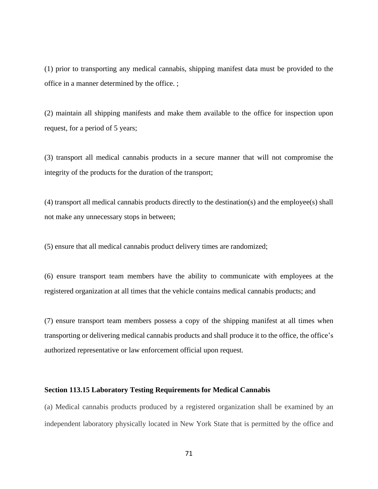(1) prior to transporting any medical cannabis, shipping manifest data must be provided to the office in a manner determined by the office. ;

(2) maintain all shipping manifests and make them available to the office for inspection upon request, for a period of 5 years;

(3) transport all medical cannabis products in a secure manner that will not compromise the integrity of the products for the duration of the transport;

(4) transport all medical cannabis products directly to the destination(s) and the employee(s) shall not make any unnecessary stops in between;

(5) ensure that all medical cannabis product delivery times are randomized;

(6) ensure transport team members have the ability to communicate with employees at the registered organization at all times that the vehicle contains medical cannabis products; and

(7) ensure transport team members possess a copy of the shipping manifest at all times when transporting or delivering medical cannabis products and shall produce it to the office, the office's authorized representative or law enforcement official upon request.

#### **Section 113.15 Laboratory Testing Requirements for Medical Cannabis**

(a) Medical cannabis products produced by a registered organization shall be examined by an independent laboratory physically located in New York State that is permitted by the office and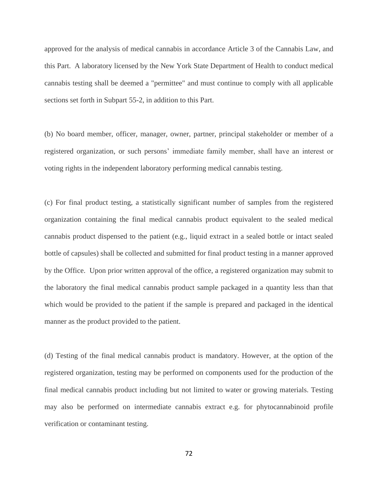approved for the analysis of medical cannabis in accordance Article 3 of the Cannabis Law, and this Part. A laboratory licensed by the New York State Department of Health to conduct medical cannabis testing shall be deemed a "permittee" and must continue to comply with all applicable sections set forth in Subpart 55-2, in addition to this Part.

(b) No board member, officer, manager, owner, partner, principal stakeholder or member of a registered organization, or such persons' immediate family member, shall have an interest or voting rights in the independent laboratory performing medical cannabis testing.

(c) For final product testing, a statistically significant number of samples from the registered organization containing the final medical cannabis product equivalent to the sealed medical cannabis product dispensed to the patient (e.g., liquid extract in a sealed bottle or intact sealed bottle of capsules) shall be collected and submitted for final product testing in a manner approved by the Office. Upon prior written approval of the office, a registered organization may submit to the laboratory the final medical cannabis product sample packaged in a quantity less than that which would be provided to the patient if the sample is prepared and packaged in the identical manner as the product provided to the patient.

(d) Testing of the final medical cannabis product is mandatory. However, at the option of the registered organization, testing may be performed on components used for the production of the final medical cannabis product including but not limited to water or growing materials. Testing may also be performed on intermediate cannabis extract e.g. for phytocannabinoid profile verification or contaminant testing.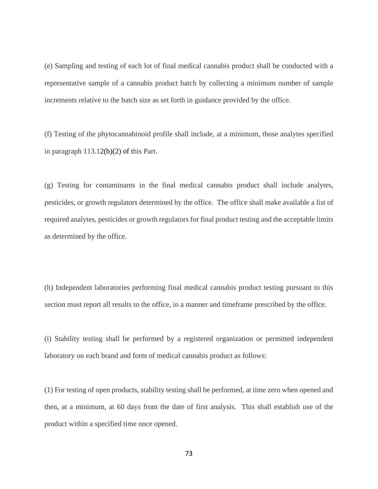(e) Sampling and testing of each lot of final medical cannabis product shall be conducted with a representative sample of a cannabis product batch by collecting a minimum number of sample increments relative to the batch size as set forth in guidance provided by the office.

(f) Testing of the phytocannabinoid profile shall include, at a minimum, those analytes specified in paragraph 113.12(b)(2) of this Part.

(g) Testing for contaminants in the final medical cannabis product shall include analytes, pesticides, or growth regulators determined by the office. The office shall make available a list of required analytes, pesticides or growth regulators for final product testing and the acceptable limits as determined by the office.

(h) Independent laboratories performing final medical cannabis product testing pursuant to this section must report all results to the office, in a manner and timeframe prescribed by the office.

(i) Stability testing shall be performed by a registered organization or permitted independent laboratory on each brand and form of medical cannabis product as follows:

(1) For testing of open products, stability testing shall be performed, at time zero when opened and then, at a minimum, at 60 days from the date of first analysis. This shall establish use of the product within a specified time once opened.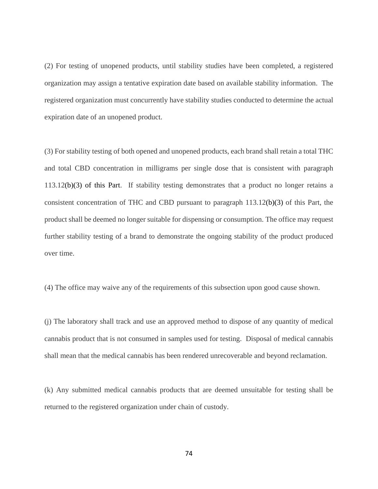(2) For testing of unopened products, until stability studies have been completed, a registered organization may assign a tentative expiration date based on available stability information. The registered organization must concurrently have stability studies conducted to determine the actual expiration date of an unopened product.

(3) For stability testing of both opened and unopened products, each brand shall retain a total THC and total CBD concentration in milligrams per single dose that is consistent with paragraph 113.12(b)(3) of this Part. If stability testing demonstrates that a product no longer retains a consistent concentration of THC and CBD pursuant to paragraph 113.12(b)(3) of this Part, the product shall be deemed no longer suitable for dispensing or consumption. The office may request further stability testing of a brand to demonstrate the ongoing stability of the product produced over time.

(4) The office may waive any of the requirements of this subsection upon good cause shown.

(j) The laboratory shall track and use an approved method to dispose of any quantity of medical cannabis product that is not consumed in samples used for testing. Disposal of medical cannabis shall mean that the medical cannabis has been rendered unrecoverable and beyond reclamation.

(k) Any submitted medical cannabis products that are deemed unsuitable for testing shall be returned to the registered organization under chain of custody.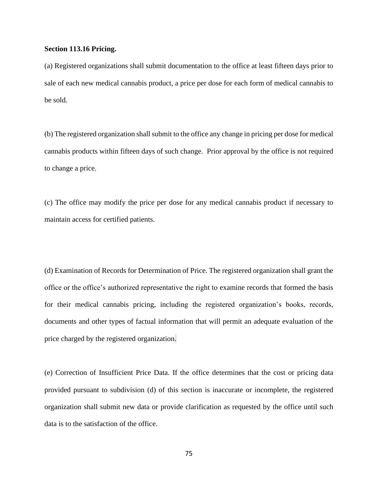#### **Section 113.16 Pricing.**

(a) Registered organizations shall submit documentation to the office at least fifteen days prior to sale of each new medical cannabis product, a price per dose for each form of medical cannabis to be sold.

(b) The registered organization shall submit to the office any change in pricing per dose for medical cannabis products within fifteen days of such change. Prior approval by the office is not required to change a price.

(c) The office may modify the price per dose for any medical cannabis product if necessary to maintain access for certified patients.

(d) Examination of Records for Determination of Price. The registered organization shall grant the office or the office's authorized representative the right to examine records that formed the basis for their medical cannabis pricing, including the registered organization's books, records, documents and other types of factual information that will permit an adequate evaluation of the price charged by the registered organization.

(e) Correction of Insufficient Price Data. If the office determines that the cost or pricing data provided pursuant to subdivision (d) of this section is inaccurate or incomplete, the registered organization shall submit new data or provide clarification as requested by the office until such data is to the satisfaction of the office.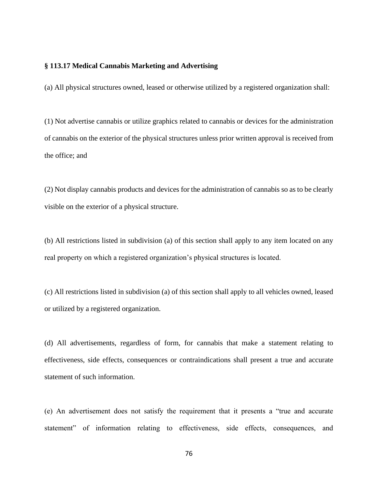### **§ 113.17 Medical Cannabis Marketing and Advertising**

(a) All physical structures owned, leased or otherwise utilized by a registered organization shall:

(1) Not advertise cannabis or utilize graphics related to cannabis or devices for the administration of cannabis on the exterior of the physical structures unless prior written approval is received from the office; and

(2) Not display cannabis products and devices for the administration of cannabis so as to be clearly visible on the exterior of a physical structure.

(b) All restrictions listed in subdivision (a) of this section shall apply to any item located on any real property on which a registered organization's physical structures is located.

(c) All restrictions listed in subdivision (a) of this section shall apply to all vehicles owned, leased or utilized by a registered organization.

(d) All advertisements, regardless of form, for cannabis that make a statement relating to effectiveness, side effects, consequences or contraindications shall present a true and accurate statement of such information.

(e) An advertisement does not satisfy the requirement that it presents a "true and accurate statement" of information relating to effectiveness, side effects, consequences, and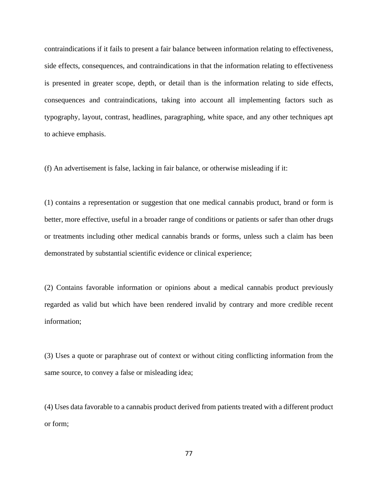contraindications if it fails to present a fair balance between information relating to effectiveness, side effects, consequences, and contraindications in that the information relating to effectiveness is presented in greater scope, depth, or detail than is the information relating to side effects, consequences and contraindications, taking into account all implementing factors such as typography, layout, contrast, headlines, paragraphing, white space, and any other techniques apt to achieve emphasis.

(f) An advertisement is false, lacking in fair balance, or otherwise misleading if it:

(1) contains a representation or suggestion that one medical cannabis product, brand or form is better, more effective, useful in a broader range of conditions or patients or safer than other drugs or treatments including other medical cannabis brands or forms, unless such a claim has been demonstrated by substantial scientific evidence or clinical experience;

(2) Contains favorable information or opinions about a medical cannabis product previously regarded as valid but which have been rendered invalid by contrary and more credible recent information;

(3) Uses a quote or paraphrase out of context or without citing conflicting information from the same source, to convey a false or misleading idea;

(4) Uses data favorable to a cannabis product derived from patients treated with a different product or form;

77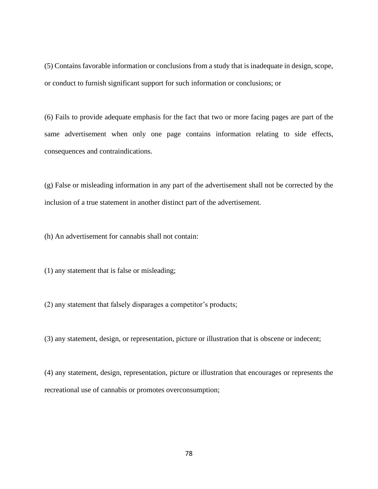(5) Contains favorable information or conclusions from a study that is inadequate in design, scope, or conduct to furnish significant support for such information or conclusions; or

(6) Fails to provide adequate emphasis for the fact that two or more facing pages are part of the same advertisement when only one page contains information relating to side effects, consequences and contraindications.

(g) False or misleading information in any part of the advertisement shall not be corrected by the inclusion of a true statement in another distinct part of the advertisement.

(h) An advertisement for cannabis shall not contain:

(1) any statement that is false or misleading;

(2) any statement that falsely disparages a competitor's products;

(3) any statement, design, or representation, picture or illustration that is obscene or indecent;

(4) any statement, design, representation, picture or illustration that encourages or represents the recreational use of cannabis or promotes overconsumption;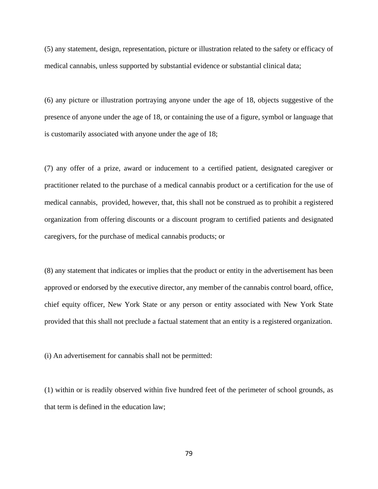(5) any statement, design, representation, picture or illustration related to the safety or efficacy of medical cannabis, unless supported by substantial evidence or substantial clinical data;

(6) any picture or illustration portraying anyone under the age of 18, objects suggestive of the presence of anyone under the age of 18, or containing the use of a figure, symbol or language that is customarily associated with anyone under the age of 18;

(7) any offer of a prize, award or inducement to a certified patient, designated caregiver or practitioner related to the purchase of a medical cannabis product or a certification for the use of medical cannabis, provided, however, that, this shall not be construed as to prohibit a registered organization from offering discounts or a discount program to certified patients and designated caregivers, for the purchase of medical cannabis products; or

(8) any statement that indicates or implies that the product or entity in the advertisement has been approved or endorsed by the executive director, any member of the cannabis control board, office, chief equity officer, New York State or any person or entity associated with New York State provided that this shall not preclude a factual statement that an entity is a registered organization.

(i) An advertisement for cannabis shall not be permitted:

(1) within or is readily observed within five hundred feet of the perimeter of school grounds, as that term is defined in the education law;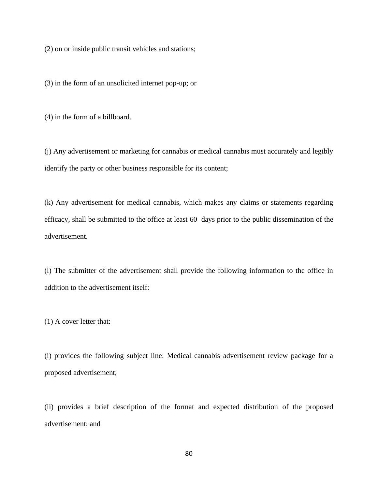(2) on or inside public transit vehicles and stations;

(3) in the form of an unsolicited internet pop-up; or

(4) in the form of a billboard.

(j) Any advertisement or marketing for cannabis or medical cannabis must accurately and legibly identify the party or other business responsible for its content;

(k) Any advertisement for medical cannabis, which makes any claims or statements regarding efficacy, shall be submitted to the office at least 60 days prior to the public dissemination of the advertisement.

(l) The submitter of the advertisement shall provide the following information to the office in addition to the advertisement itself:

(1) A cover letter that:

(i) provides the following subject line: Medical cannabis advertisement review package for a proposed advertisement;

(ii) provides a brief description of the format and expected distribution of the proposed advertisement; and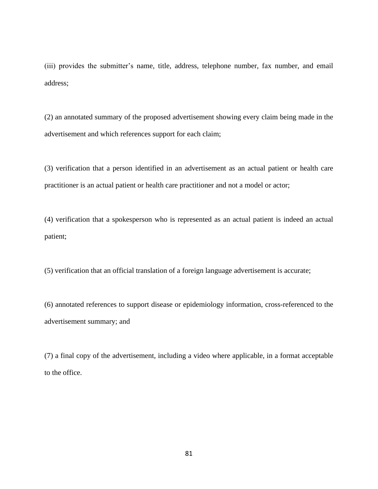(iii) provides the submitter's name, title, address, telephone number, fax number, and email address;

(2) an annotated summary of the proposed advertisement showing every claim being made in the advertisement and which references support for each claim;

(3) verification that a person identified in an advertisement as an actual patient or health care practitioner is an actual patient or health care practitioner and not a model or actor;

(4) verification that a spokesperson who is represented as an actual patient is indeed an actual patient;

(5) verification that an official translation of a foreign language advertisement is accurate;

(6) annotated references to support disease or epidemiology information, cross-referenced to the advertisement summary; and

(7) a final copy of the advertisement, including a video where applicable, in a format acceptable to the office.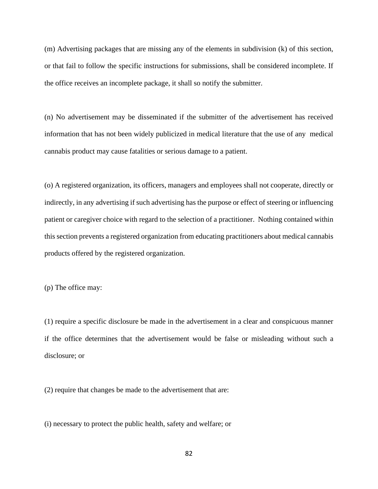(m) Advertising packages that are missing any of the elements in subdivision (k) of this section, or that fail to follow the specific instructions for submissions, shall be considered incomplete. If the office receives an incomplete package, it shall so notify the submitter.

(n) No advertisement may be disseminated if the submitter of the advertisement has received information that has not been widely publicized in medical literature that the use of any medical cannabis product may cause fatalities or serious damage to a patient.

(o) A registered organization, its officers, managers and employees shall not cooperate, directly or indirectly, in any advertising if such advertising has the purpose or effect of steering or influencing patient or caregiver choice with regard to the selection of a practitioner. Nothing contained within this section prevents a registered organization from educating practitioners about medical cannabis products offered by the registered organization.

(p) The office may:

(1) require a specific disclosure be made in the advertisement in a clear and conspicuous manner if the office determines that the advertisement would be false or misleading without such a disclosure; or

(2) require that changes be made to the advertisement that are:

(i) necessary to protect the public health, safety and welfare; or

82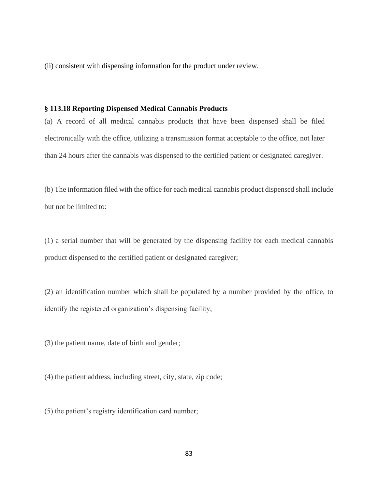(ii) consistent with dispensing information for the product under review.

## **§ 113.18 Reporting Dispensed Medical Cannabis Products**

(a) A record of all medical cannabis products that have been dispensed shall be filed electronically with the office, utilizing a transmission format acceptable to the office, not later than 24 hours after the cannabis was dispensed to the certified patient or designated caregiver.

(b) The information filed with the office for each medical cannabis product dispensed shall include but not be limited to:

(1) a serial number that will be generated by the dispensing facility for each medical cannabis product dispensed to the certified patient or designated caregiver;

(2) an identification number which shall be populated by a number provided by the office, to identify the registered organization's dispensing facility;

(3) the patient name, date of birth and gender;

(4) the patient address, including street, city, state, zip code;

(5) the patient's registry identification card number;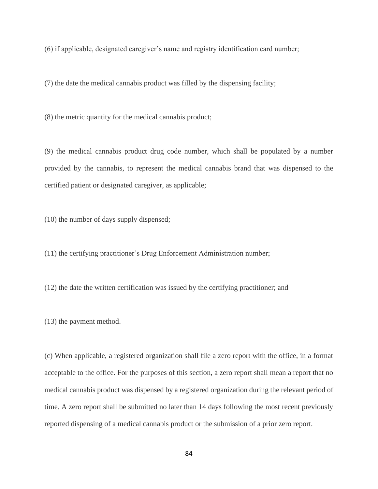(6) if applicable, designated caregiver's name and registry identification card number;

(7) the date the medical cannabis product was filled by the dispensing facility;

(8) the metric quantity for the medical cannabis product;

(9) the medical cannabis product drug code number, which shall be populated by a number provided by the cannabis, to represent the medical cannabis brand that was dispensed to the certified patient or designated caregiver, as applicable;

(10) the number of days supply dispensed;

(11) the certifying practitioner's Drug Enforcement Administration number;

(12) the date the written certification was issued by the certifying practitioner; and

(13) the payment method.

(c) When applicable, a registered organization shall file a zero report with the office, in a format acceptable to the office. For the purposes of this section, a zero report shall mean a report that no medical cannabis product was dispensed by a registered organization during the relevant period of time. A zero report shall be submitted no later than 14 days following the most recent previously reported dispensing of a medical cannabis product or the submission of a prior zero report.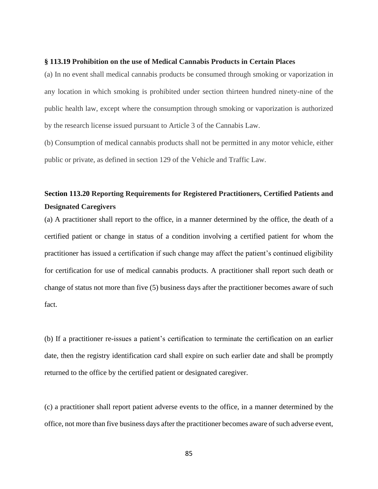#### **§ 113.19 Prohibition on the use of Medical Cannabis Products in Certain Places**

(a) In no event shall medical cannabis products be consumed through smoking or vaporization in any location in which smoking is prohibited under section thirteen hundred ninety-nine of the public health law, except where the consumption through smoking or vaporization is authorized by the research license issued pursuant to Article 3 of the Cannabis Law.

(b) Consumption of medical cannabis products shall not be permitted in any motor vehicle, either public or private, as defined in section 129 of the Vehicle and Traffic Law.

# **Section 113.20 Reporting Requirements for Registered Practitioners, Certified Patients and Designated Caregivers**

(a) A practitioner shall report to the office, in a manner determined by the office, the death of a certified patient or change in status of a condition involving a certified patient for whom the practitioner has issued a certification if such change may affect the patient's continued eligibility for certification for use of medical cannabis products. A practitioner shall report such death or change of status not more than five (5) business days after the practitioner becomes aware of such fact.

(b) If a practitioner re-issues a patient's certification to terminate the certification on an earlier date, then the registry identification card shall expire on such earlier date and shall be promptly returned to the office by the certified patient or designated caregiver.

(c) a practitioner shall report patient adverse events to the office, in a manner determined by the office, not more than five business days after the practitioner becomes aware of such adverse event,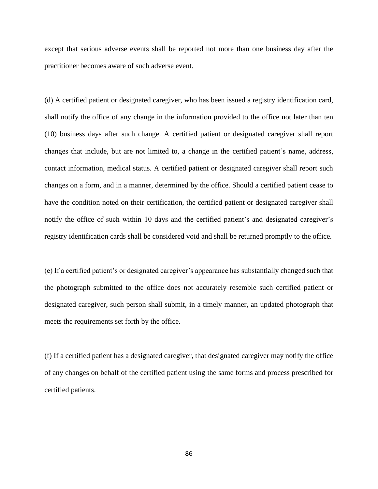except that serious adverse events shall be reported not more than one business day after the practitioner becomes aware of such adverse event.

(d) A certified patient or designated caregiver, who has been issued a registry identification card, shall notify the office of any change in the information provided to the office not later than ten (10) business days after such change. A certified patient or designated caregiver shall report changes that include, but are not limited to, a change in the certified patient's name, address, contact information, medical status. A certified patient or designated caregiver shall report such changes on a form, and in a manner, determined by the office. Should a certified patient cease to have the condition noted on their certification, the certified patient or designated caregiver shall notify the office of such within 10 days and the certified patient's and designated caregiver's registry identification cards shall be considered void and shall be returned promptly to the office.

(e) If a certified patient's or designated caregiver's appearance has substantially changed such that the photograph submitted to the office does not accurately resemble such certified patient or designated caregiver, such person shall submit, in a timely manner, an updated photograph that meets the requirements set forth by the office.

(f) If a certified patient has a designated caregiver, that designated caregiver may notify the office of any changes on behalf of the certified patient using the same forms and process prescribed for certified patients.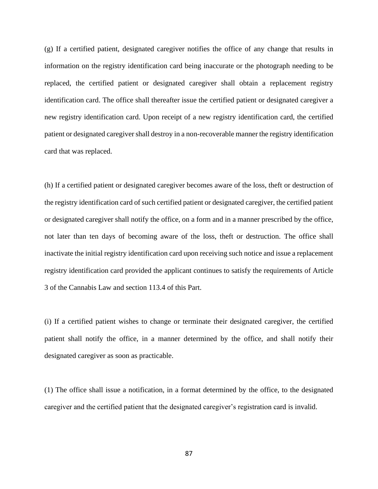(g) If a certified patient, designated caregiver notifies the office of any change that results in information on the registry identification card being inaccurate or the photograph needing to be replaced, the certified patient or designated caregiver shall obtain a replacement registry identification card. The office shall thereafter issue the certified patient or designated caregiver a new registry identification card. Upon receipt of a new registry identification card, the certified patient or designated caregiver shall destroy in a non-recoverable manner the registry identification card that was replaced.

(h) If a certified patient or designated caregiver becomes aware of the loss, theft or destruction of the registry identification card of such certified patient or designated caregiver, the certified patient or designated caregiver shall notify the office, on a form and in a manner prescribed by the office, not later than ten days of becoming aware of the loss, theft or destruction. The office shall inactivate the initial registry identification card upon receiving such notice and issue a replacement registry identification card provided the applicant continues to satisfy the requirements of Article 3 of the Cannabis Law and section 113.4 of this Part.

(i) If a certified patient wishes to change or terminate their designated caregiver, the certified patient shall notify the office, in a manner determined by the office, and shall notify their designated caregiver as soon as practicable.

(1) The office shall issue a notification, in a format determined by the office, to the designated caregiver and the certified patient that the designated caregiver's registration card is invalid.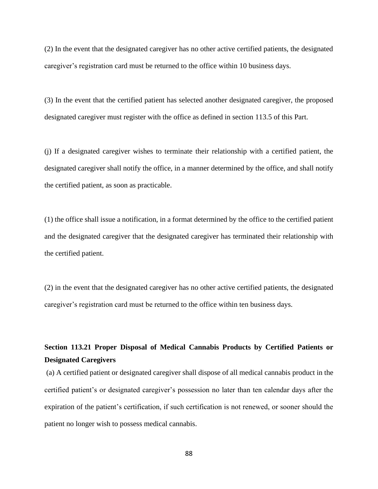(2) In the event that the designated caregiver has no other active certified patients, the designated caregiver's registration card must be returned to the office within 10 business days.

(3) In the event that the certified patient has selected another designated caregiver, the proposed designated caregiver must register with the office as defined in section 113.5 of this Part.

(j) If a designated caregiver wishes to terminate their relationship with a certified patient, the designated caregiver shall notify the office, in a manner determined by the office, and shall notify the certified patient, as soon as practicable.

(1) the office shall issue a notification, in a format determined by the office to the certified patient and the designated caregiver that the designated caregiver has terminated their relationship with the certified patient.

(2) in the event that the designated caregiver has no other active certified patients, the designated caregiver's registration card must be returned to the office within ten business days.

# **Section 113.21 Proper Disposal of Medical Cannabis Products by Certified Patients or Designated Caregivers**

(a) A certified patient or designated caregiver shall dispose of all medical cannabis product in the certified patient's or designated caregiver's possession no later than ten calendar days after the expiration of the patient's certification, if such certification is not renewed, or sooner should the patient no longer wish to possess medical cannabis.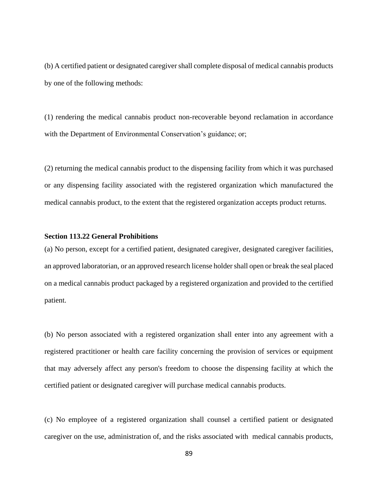(b) A certified patient or designated caregiver shall complete disposal of medical cannabis products by one of the following methods:

(1) rendering the medical cannabis product non-recoverable beyond reclamation in accordance with the Department of Environmental Conservation's guidance; or;

(2) returning the medical cannabis product to the dispensing facility from which it was purchased or any dispensing facility associated with the registered organization which manufactured the medical cannabis product, to the extent that the registered organization accepts product returns.

## **Section 113.22 General Prohibitions**

(a) No person, except for a certified patient, designated caregiver, designated caregiver facilities, an approved laboratorian, or an approved research license holder shall open or break the seal placed on a medical cannabis product packaged by a registered organization and provided to the certified patient.

(b) No person associated with a registered organization shall enter into any agreement with a registered practitioner or health care facility concerning the provision of services or equipment that may adversely affect any person's freedom to choose the dispensing facility at which the certified patient or designated caregiver will purchase medical cannabis products.

(c) No employee of a registered organization shall counsel a certified patient or designated caregiver on the use, administration of, and the risks associated with medical cannabis products,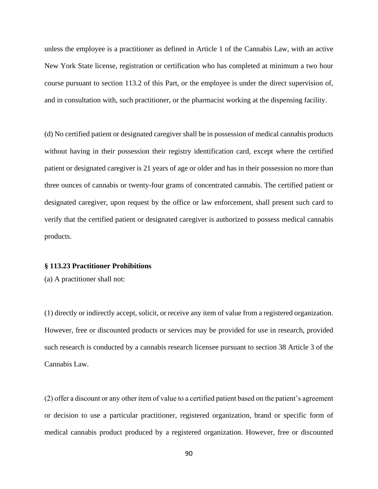unless the employee is a practitioner as defined in Article 1 of the Cannabis Law, with an active New York State license, registration or certification who has completed at minimum a two hour course pursuant to section 113.2 of this Part, or the employee is under the direct supervision of, and in consultation with, such practitioner, or the pharmacist working at the dispensing facility.

(d) No certified patient or designated caregiver shall be in possession of medical cannabis products without having in their possession their registry identification card, except where the certified patient or designated caregiver is 21 years of age or older and has in their possession no more than three ounces of cannabis or twenty-four grams of concentrated cannabis. The certified patient or designated caregiver, upon request by the office or law enforcement, shall present such card to verify that the certified patient or designated caregiver is authorized to possess medical cannabis products.

# **§ 113.23 Practitioner Prohibitions**

(a) A practitioner shall not:

(1) directly or indirectly accept, solicit, or receive any item of value from a registered organization. However, free or discounted products or services may be provided for use in research, provided such research is conducted by a cannabis research licensee pursuant to section 38 Article 3 of the Cannabis Law.

(2) offer a discount or any other item of value to a certified patient based on the patient's agreement or decision to use a particular practitioner, registered organization, brand or specific form of medical cannabis product produced by a registered organization. However, free or discounted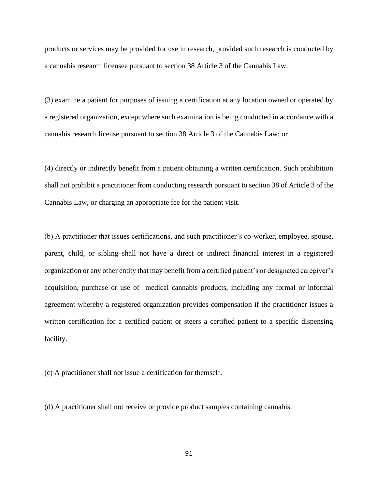products or services may be provided for use in research, provided such research is conducted by a cannabis research licensee pursuant to section 38 Article 3 of the Cannabis Law.

(3) examine a patient for purposes of issuing a certification at any location owned or operated by a registered organization, except where such examination is being conducted in accordance with a cannabis research license pursuant to section 38 Article 3 of the Cannabis Law; or

(4) directly or indirectly benefit from a patient obtaining a written certification. Such prohibition shall not prohibit a practitioner from conducting research pursuant to section 38 of Article 3 of the Cannabis Law, or charging an appropriate fee for the patient visit.

(b) A practitioner that issues certifications, and such practitioner's co-worker, employee, spouse, parent, child, or sibling shall not have a direct or indirect financial interest in a registered organization or any other entity that may benefit from a certified patient's or designated caregiver's acquisition, purchase or use of medical cannabis products, including any formal or informal agreement whereby a registered organization provides compensation if the practitioner issues a written certification for a certified patient or steers a certified patient to a specific dispensing facility.

(c) A practitioner shall not issue a certification for themself.

(d) A practitioner shall not receive or provide product samples containing cannabis.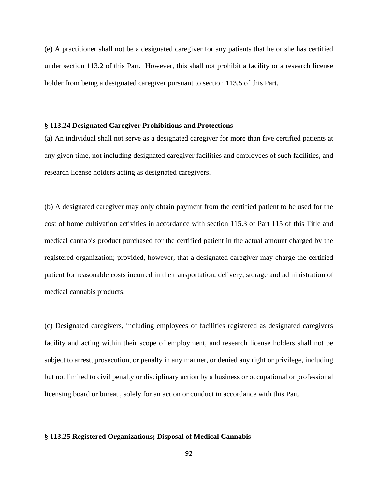(e) A practitioner shall not be a designated caregiver for any patients that he or she has certified under section 113.2 of this Part. However, this shall not prohibit a facility or a research license holder from being a designated caregiver pursuant to section 113.5 of this Part.

### **§ 113.24 Designated Caregiver Prohibitions and Protections**

(a) An individual shall not serve as a designated caregiver for more than five certified patients at any given time, not including designated caregiver facilities and employees of such facilities, and research license holders acting as designated caregivers.

(b) A designated caregiver may only obtain payment from the certified patient to be used for the cost of home cultivation activities in accordance with section 115.3 of Part 115 of this Title and medical cannabis product purchased for the certified patient in the actual amount charged by the registered organization; provided, however, that a designated caregiver may charge the certified patient for reasonable costs incurred in the transportation, delivery, storage and administration of medical cannabis products.

(c) Designated caregivers, including employees of facilities registered as designated caregivers facility and acting within their scope of employment, and research license holders shall not be subject to arrest, prosecution, or penalty in any manner, or denied any right or privilege, including but not limited to civil penalty or disciplinary action by a business or occupational or professional licensing board or bureau, solely for an action or conduct in accordance with this Part.

### **§ 113.25 Registered Organizations; Disposal of Medical Cannabis**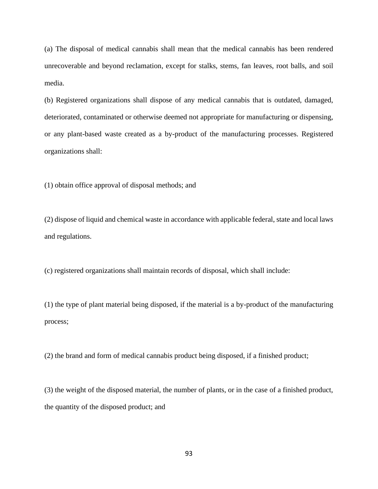(a) The disposal of medical cannabis shall mean that the medical cannabis has been rendered unrecoverable and beyond reclamation, except for stalks, stems, fan leaves, root balls, and soil media.

(b) Registered organizations shall dispose of any medical cannabis that is outdated, damaged, deteriorated, contaminated or otherwise deemed not appropriate for manufacturing or dispensing, or any plant-based waste created as a by-product of the manufacturing processes. Registered organizations shall:

(1) obtain office approval of disposal methods; and

(2) dispose of liquid and chemical waste in accordance with applicable federal, state and local laws and regulations.

(c) registered organizations shall maintain records of disposal, which shall include:

(1) the type of plant material being disposed, if the material is a by-product of the manufacturing process;

(2) the brand and form of medical cannabis product being disposed, if a finished product;

(3) the weight of the disposed material, the number of plants, or in the case of a finished product, the quantity of the disposed product; and